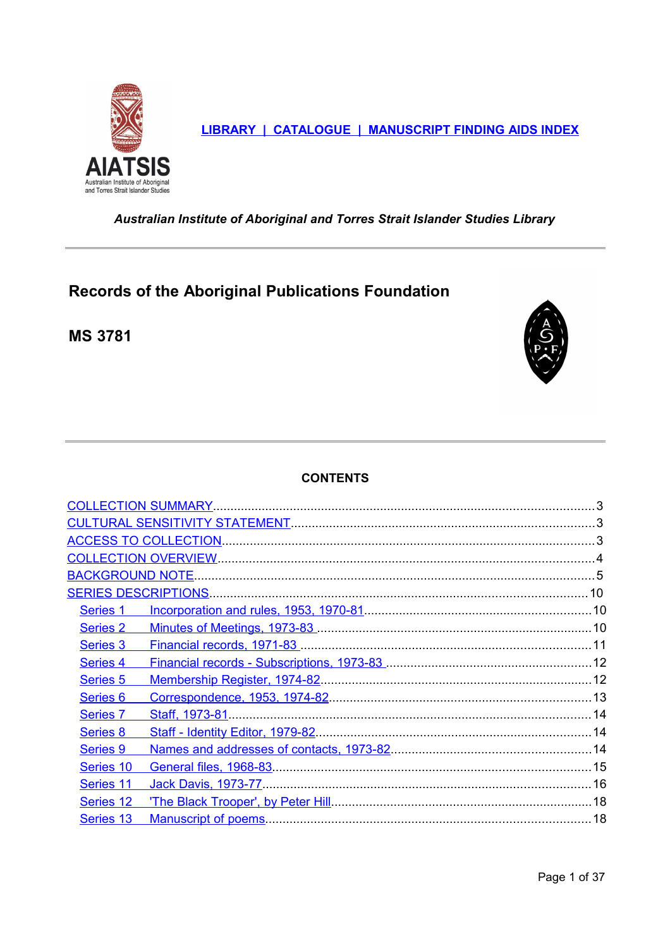

LIBRARY | CATALOGUE | MANUSCRIPT FINDING AIDS INDEX

<span id="page-0-0"></span>Australian Institute of Aboriginal and Torres Strait Islander Studies Library

# Records of the Aboriginal Publications Foundation

**MS 3781** 



# **CONTENTS**

| Series 1            |  |
|---------------------|--|
| Series 2            |  |
| Series 3            |  |
| Series 4            |  |
| Series <sub>5</sub> |  |
| Series <sub>6</sub> |  |
| Series 7            |  |
| Series <sub>8</sub> |  |
| <b>Series 9</b>     |  |
| Series 10           |  |
| Series 11           |  |
| Series 12           |  |
| Series 13           |  |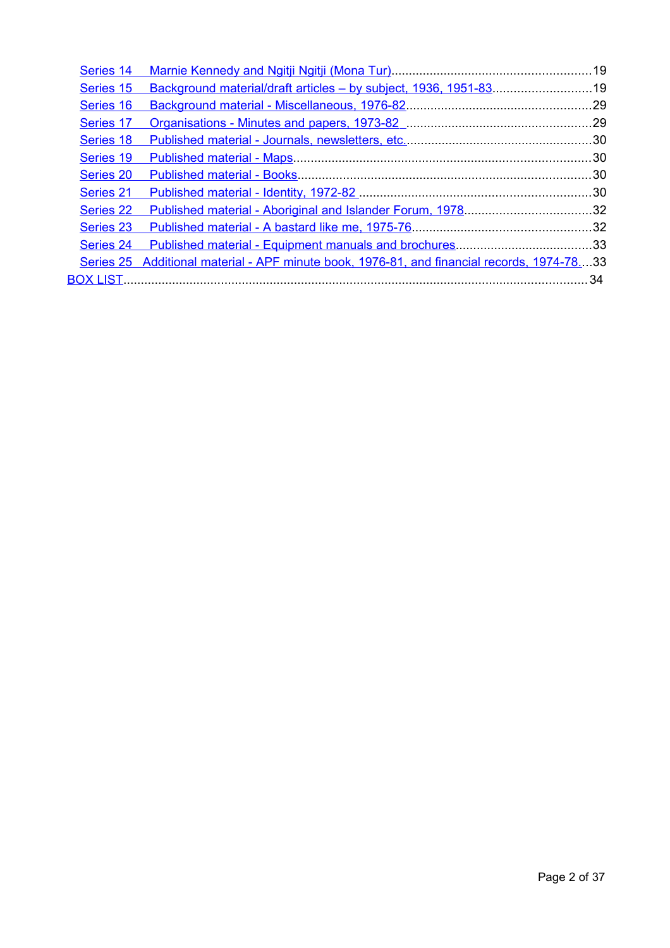| Series 14        |                                                                                  |  |
|------------------|----------------------------------------------------------------------------------|--|
| Series 15        | Background material/draft articles - by subject, 1936, 1951-8319                 |  |
| Series 16        |                                                                                  |  |
| Series 17        |                                                                                  |  |
| Series 18        |                                                                                  |  |
| Series 19        |                                                                                  |  |
| Series 20        |                                                                                  |  |
| Series 21        |                                                                                  |  |
| <b>Series 22</b> |                                                                                  |  |
| <b>Series 23</b> |                                                                                  |  |
| Series 24        |                                                                                  |  |
| <b>Series 25</b> | Additional material - APF minute book, 1976-81, and financial records, 1974-7833 |  |
|                  |                                                                                  |  |
|                  |                                                                                  |  |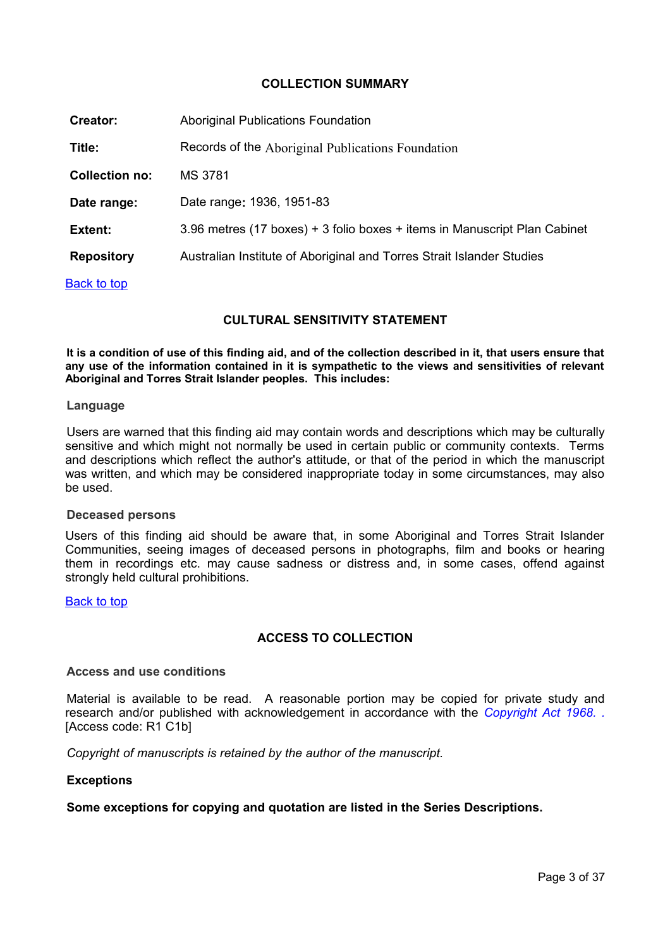## <span id="page-2-2"></span>**COLLECTION SUMMARY**

| <b>Creator:</b>       | Aboriginal Publications Foundation                                        |
|-----------------------|---------------------------------------------------------------------------|
| Title:                | Records of the Aboriginal Publications Foundation                         |
| <b>Collection no:</b> | MS 3781                                                                   |
| Date range:           | Date range: 1936, 1951-83                                                 |
| Extent:               | 3.96 metres (17 boxes) + 3 folio boxes + items in Manuscript Plan Cabinet |
| <b>Repository</b>     | Australian Institute of Aboriginal and Torres Strait Islander Studies     |
| <b>Back to top</b>    |                                                                           |

## <span id="page-2-1"></span>**CULTURAL SENSITIVITY STATEMENT**

**It is a condition of use of this finding aid, and of the collection described in it, that users ensure that any use of the information contained in it is sympathetic to the views and sensitivities of relevant Aboriginal and Torres Strait Islander peoples. This includes:** 

#### **Language**

Users are warned that this finding aid may contain words and descriptions which may be culturally sensitive and which might not normally be used in certain public or community contexts. Terms and descriptions which reflect the author's attitude, or that of the period in which the manuscript was written, and which may be considered inappropriate today in some circumstances, may also be used.

## **Deceased persons**

Users of this finding aid should be aware that, in some Aboriginal and Torres Strait Islander Communities, seeing images of deceased persons in photographs, film and books or hearing them in recordings etc. may cause sadness or distress and, in some cases, offend against strongly held cultural prohibitions.

#### [Back to top](#page-0-0)

# <span id="page-2-0"></span>**ACCESS TO COLLECTION**

## **Access and use conditions**

Material is available to be read. A reasonable portion may be copied for private study and research and/or published with acknowledgement in accordance with the *[Copyright Act 1968. .](http://www.austlii.edu.au/au/legis/cth/consol_act/ca1968133/)* [Access code: R1 C1b]

*Copyright of manuscripts is retained by the author of the manuscript.* 

#### **Exceptions**

**Some exceptions for copying and quotation are listed in the Series Descriptions.**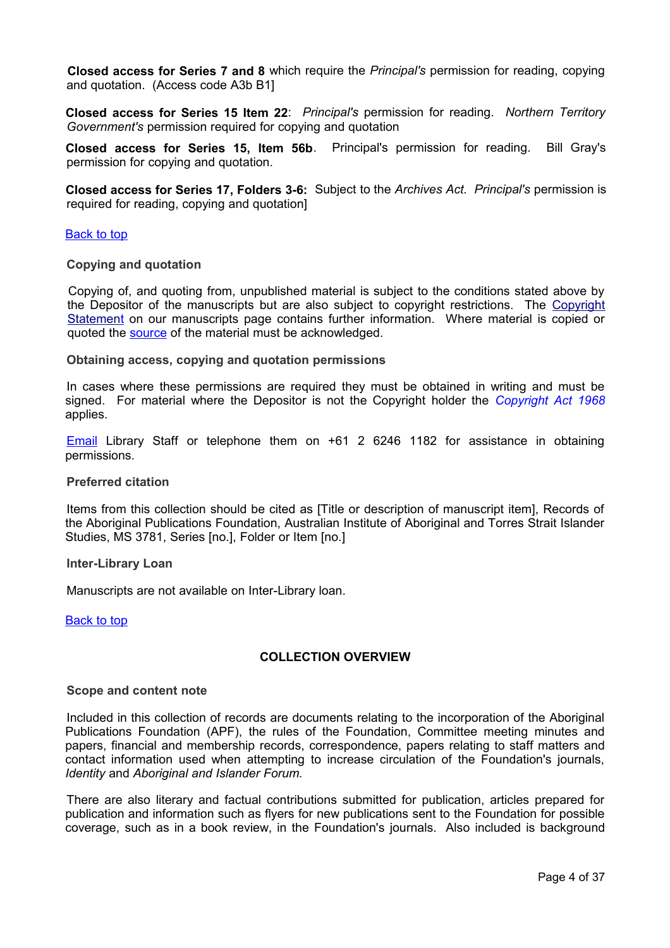**Closed access for Series 7 and 8** which require the *Principal's* permission for reading, copying and quotation. (Access code A3b B1]

**Closed access for Series 15 Item 22**: *Principal's* permission for reading. *Northern Territory Government's* permission required for copying and quotation

**Closed access for Series 15, Item 56b**. Principal's permission for reading. Bill Gray's permission for copying and quotation.

**Closed access for Series 17, Folders 3-6:** Subject to the *Archives Act. Principal's* permission is required for reading, copying and quotation]

#### **[Back to top](#page-0-0)**

#### **Copying and quotation**

Copying of, and quoting from, unpublished material is subject to the conditions stated above by the Depositor of the manuscripts but are also subject to copyright restrictions. The [Copyright](http://www.aiatsis.gov.au/library/ms.html) [Statement](http://www.aiatsis.gov.au/library/ms.html) on our manuscripts page contains further information. Where material is copied or quoted the [source](#page-3-1) of the material must be acknowledged.

#### **Obtaining access, copying and quotation permissions**

In cases where these permissions are required they must be obtained in writing and must be signed. For material where the Depositor is not the Copyright holder the *[Copyright Act 1968](http://www.austlii.edu.au/au/legis/cth/consol_act/ca1968133/)* applies.

[Email](mailto:library@aiatsis.gov.au) Library Staff or telephone them on +61 2 6246 1182 for assistance in obtaining permissions.

#### <span id="page-3-1"></span>**Preferred citation**

Items from this collection should be cited as [Title or description of manuscript item], Records of the Aboriginal Publications Foundation, Australian Institute of Aboriginal and Torres Strait Islander Studies, MS 3781, Series [no.], Folder or Item [no.]

#### **Inter-Library Loan**

Manuscripts are not available on Inter-Library loan.

**[Back to top](#page-0-0)** 

## <span id="page-3-0"></span>**COLLECTION OVERVIEW**

#### **Scope and content note**

Included in this collection of records are documents relating to the incorporation of the Aboriginal Publications Foundation (APF), the rules of the Foundation, Committee meeting minutes and papers, financial and membership records, correspondence, papers relating to staff matters and contact information used when attempting to increase circulation of the Foundation's journals, *Identity* and *Aboriginal and Islander Forum.*

There are also literary and factual contributions submitted for publication, articles prepared for publication and information such as flyers for new publications sent to the Foundation for possible coverage, such as in a book review, in the Foundation's journals. Also included is background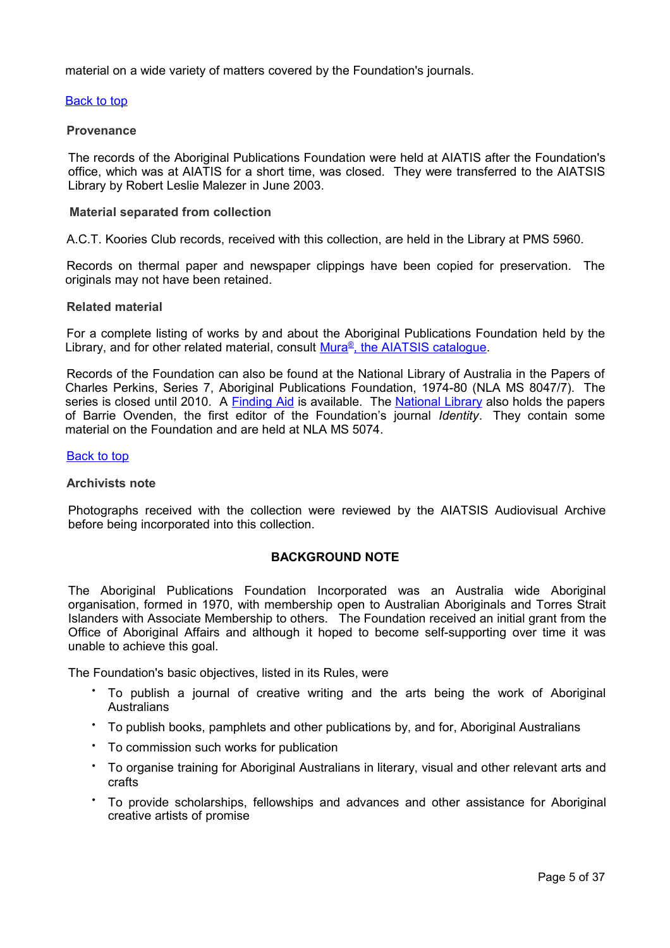material on a wide variety of matters covered by the Foundation's journals.

## [Back to top](#page-0-0)

## **Provenance**

The records of the Aboriginal Publications Foundation were held at AIATIS after the Foundation's office, which was at AIATIS for a short time, was closed. They were transferred to the AIATSIS Library by Robert Leslie Malezer in June 2003.

## **Material separated from collection**

A.C.T. Koories Club records, received with this collection, are held in the Library at PMS 5960.

Records on thermal paper and newspaper clippings have been copied for preservation. The originals may not have been retained.

## **Related material**

For a complete listing of works by and about the Aboriginal Publications Foundation held by the Library, and for other related material, consult [Mura](http://www.aiatsis.gov.au/collections/muraread.html)<sup>[®](http://www.aiatsis.gov.au/collections/muraread.html)</sup>, the [AIATSIS catalogue.](http://www.aiatsis.gov.au/collections/muraread.html)

Records of the Foundation can also be found at the National Library of Australia in the Papers of Charles Perkins, Series 7, Aboriginal Publications Foundation, 1974-80 (NLA MS 8047/7). The series is closed until 2010. A [Finding Aid](http://www.nla.gov.au/ms/findaids/8047.html) is available. The [National Library](http://www.nla.gov.au/) also holds the papers of Barrie Ovenden, the first editor of the Foundation's journal *Identity*. They contain some material on the Foundation and are held at NLA MS 5074.

## **[Back to top](#page-0-0)**

## **Archivists note**

Photographs received with the collection were reviewed by the AIATSIS Audiovisual Archive before being incorporated into this collection.

## <span id="page-4-0"></span>**BACKGROUND NOTE**

The Aboriginal Publications Foundation Incorporated was an Australia wide Aboriginal organisation, formed in 1970, with membership open to Australian Aboriginals and Torres Strait Islanders with Associate Membership to others. The Foundation received an initial grant from the Office of Aboriginal Affairs and although it hoped to become self-supporting over time it was unable to achieve this goal.

The Foundation's basic objectives, listed in its Rules, were

- To publish a journal of creative writing and the arts being the work of Aboriginal **Australians**
- To publish books, pamphlets and other publications by, and for, Aboriginal Australians
- To commission such works for publication
- To organise training for Aboriginal Australians in literary, visual and other relevant arts and crafts
- To provide scholarships, fellowships and advances and other assistance for Aboriginal creative artists of promise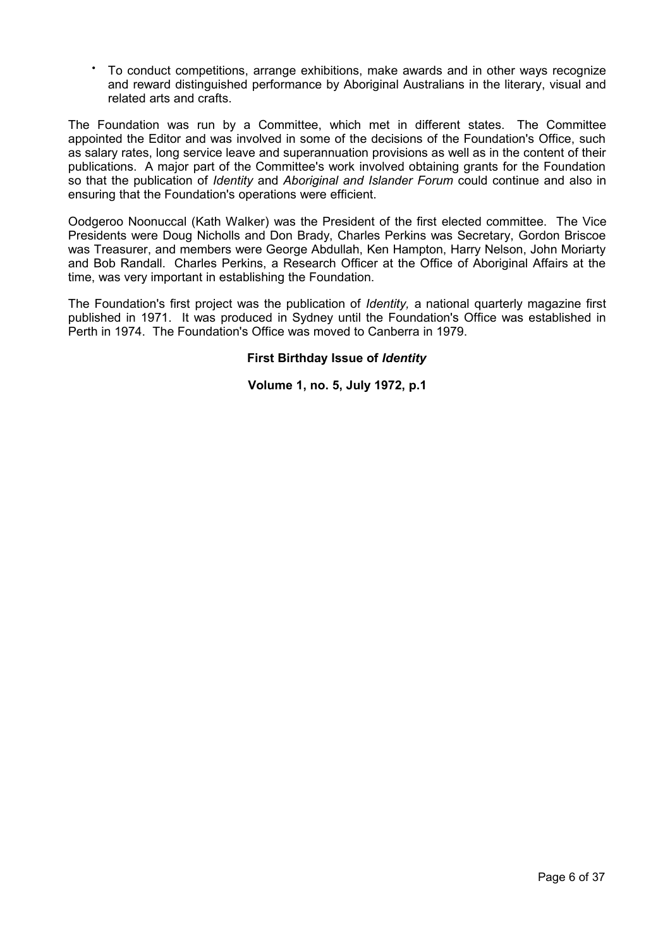• To conduct competitions, arrange exhibitions, make awards and in other ways recognize and reward distinguished performance by Aboriginal Australians in the literary, visual and related arts and crafts.

The Foundation was run by a Committee, which met in different states. The Committee appointed the Editor and was involved in some of the decisions of the Foundation's Office, such as salary rates, long service leave and superannuation provisions as well as in the content of their publications. A major part of the Committee's work involved obtaining grants for the Foundation so that the publication of *Identity* and *Aboriginal and Islander Forum* could continue and also in ensuring that the Foundation's operations were efficient.

Oodgeroo Noonuccal (Kath Walker) was the President of the first elected committee. The Vice Presidents were Doug Nicholls and Don Brady, Charles Perkins was Secretary, Gordon Briscoe was Treasurer, and members were George Abdullah, Ken Hampton, Harry Nelson, John Moriarty and Bob Randall. Charles Perkins, a Research Officer at the Office of Aboriginal Affairs at the time, was very important in establishing the Foundation.

The Foundation's first project was the publication of *Identity,* a national quarterly magazine first published in 1971. It was produced in Sydney until the Foundation's Office was established in Perth in 1974. The Foundation's Office was moved to Canberra in 1979.

## **First Birthday Issue of** *Identity*

**Volume 1, no. 5, July 1972, p.1**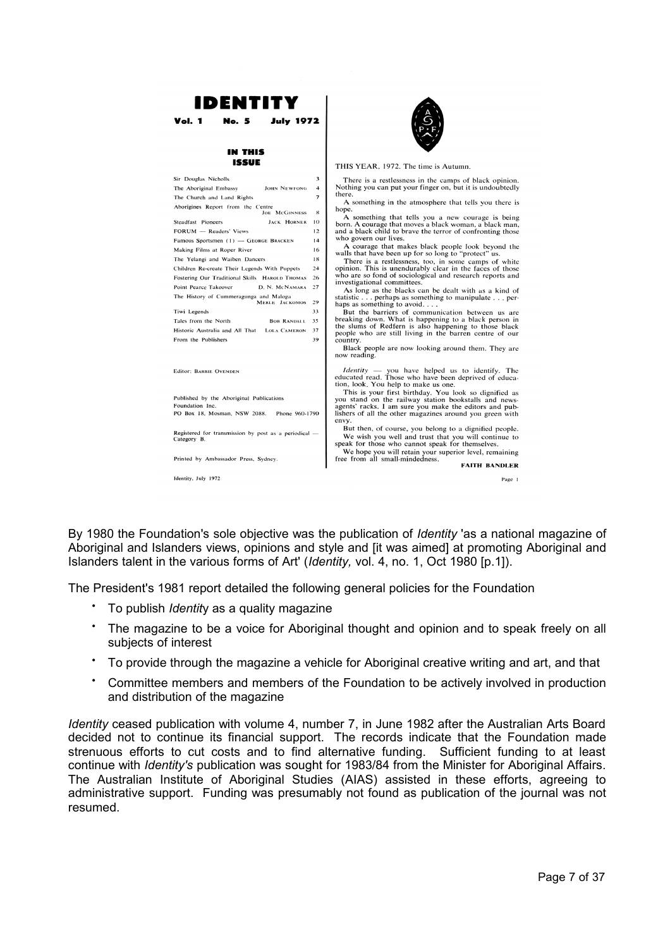

By 1980 the Foundation's sole objective was the publication of *Identity* 'as a national magazine of Aboriginal and Islanders views, opinions and style and [it was aimed] at promoting Aboriginal and Islanders talent in the various forms of Art' (*Identity,* vol. 4, no. 1, Oct 1980 [p.1]).

The President's 1981 report detailed the following general policies for the Foundation

- To publish *Identit*y as a quality magazine
- The magazine to be a voice for Aboriginal thought and opinion and to speak freely on all subjects of interest
- To provide through the magazine a vehicle for Aboriginal creative writing and art, and that
- Committee members and members of the Foundation to be actively involved in production and distribution of the magazine

*Identity* ceased publication with volume 4, number 7, in June 1982 after the Australian Arts Board decided not to continue its financial support. The records indicate that the Foundation made strenuous efforts to cut costs and to find alternative funding. Sufficient funding to at least continue with *Identity's* publication was sought for 1983/84 from the Minister for Aboriginal Affairs. The Australian Institute of Aboriginal Studies (AIAS) assisted in these efforts, agreeing to administrative support. Funding was presumably not found as publication of the journal was not resumed.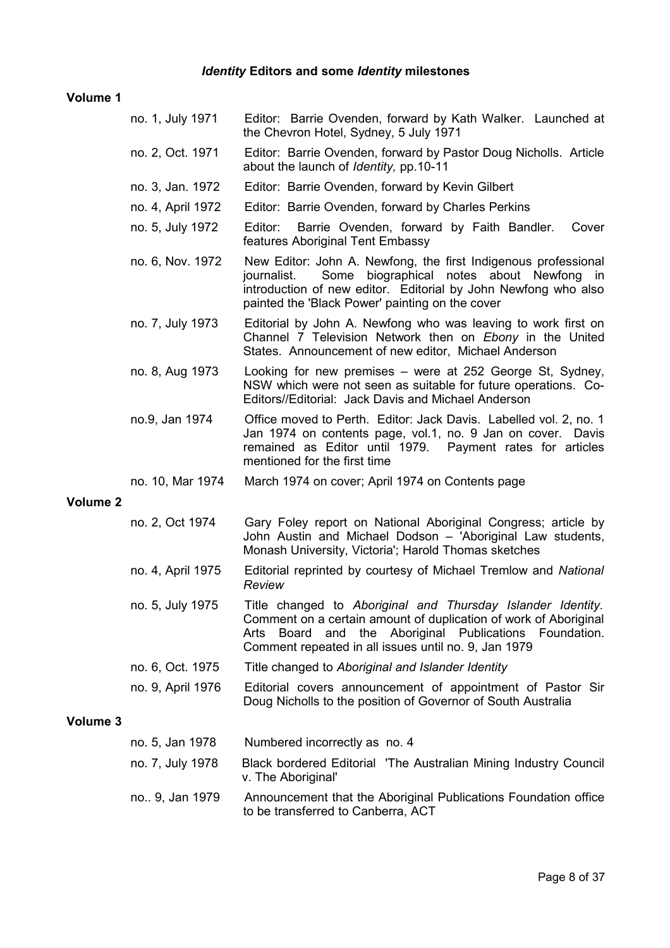# *Identity* **Editors and some** *Identity* **milestones**

## **Volume 1**

|          | no. 1, July 1971  | Editor: Barrie Ovenden, forward by Kath Walker. Launched at<br>the Chevron Hotel, Sydney, 5 July 1971                                                                                                                                                      |
|----------|-------------------|------------------------------------------------------------------------------------------------------------------------------------------------------------------------------------------------------------------------------------------------------------|
|          | no. 2, Oct. 1971  | Editor: Barrie Ovenden, forward by Pastor Doug Nicholls. Article<br>about the launch of <i>Identity</i> , pp.10-11                                                                                                                                         |
|          | no. 3, Jan. 1972  | Editor: Barrie Ovenden, forward by Kevin Gilbert                                                                                                                                                                                                           |
|          | no. 4, April 1972 | Editor: Barrie Ovenden, forward by Charles Perkins                                                                                                                                                                                                         |
|          | no. 5, July 1972  | Editor:<br>Barrie Ovenden, forward by Faith Bandler.<br>Cover<br>features Aboriginal Tent Embassy                                                                                                                                                          |
|          | no. 6, Nov. 1972  | New Editor: John A. Newfong, the first Indigenous professional<br>Some biographical notes about Newfong in<br>journalist.<br>introduction of new editor. Editorial by John Newfong who also<br>painted the 'Black Power' painting on the cover             |
|          | no. 7, July 1973  | Editorial by John A. Newfong who was leaving to work first on<br>Channel 7 Television Network then on Ebony in the United<br>States. Announcement of new editor, Michael Anderson                                                                          |
|          | no. 8, Aug 1973   | Looking for new premises – were at 252 George St, Sydney,<br>NSW which were not seen as suitable for future operations. Co-<br>Editors//Editorial: Jack Davis and Michael Anderson                                                                         |
|          | no.9, Jan 1974    | Office moved to Perth. Editor: Jack Davis. Labelled vol. 2, no. 1<br>Jan 1974 on contents page, vol.1, no. 9 Jan on cover. Davis<br>remained as Editor until 1979. Payment rates for articles<br>mentioned for the first time                              |
|          | no. 10, Mar 1974  | March 1974 on cover; April 1974 on Contents page                                                                                                                                                                                                           |
| Volume 2 |                   |                                                                                                                                                                                                                                                            |
|          | no. 2, Oct 1974   | Gary Foley report on National Aboriginal Congress; article by<br>John Austin and Michael Dodson - 'Aboriginal Law students,<br>Monash University, Victoria'; Harold Thomas sketches                                                                        |
|          | no. 4, April 1975 | Editorial reprinted by courtesy of Michael Tremlow and National<br>Review                                                                                                                                                                                  |
|          | no. 5, July 1975  | Title changed to Aboriginal and Thursday Islander Identity.<br>Comment on a certain amount of duplication of work of Aboriginal<br>the Aboriginal Publications Foundation.<br>Board<br>Arts<br>and<br>Comment repeated in all issues until no. 9, Jan 1979 |
|          | no. 6, Oct. 1975  | Title changed to Aboriginal and Islander Identity                                                                                                                                                                                                          |
|          | no. 9, April 1976 | Editorial covers announcement of appointment of Pastor Sir<br>Doug Nicholls to the position of Governor of South Australia                                                                                                                                 |
| Volume 3 |                   |                                                                                                                                                                                                                                                            |
|          | no. 5, Jan 1978   | Numbered incorrectly as no. 4                                                                                                                                                                                                                              |
|          | no. 7, July 1978  | Black bordered Editorial 'The Australian Mining Industry Council<br>v. The Aboriginal'                                                                                                                                                                     |
|          | no 9, Jan 1979    | Announcement that the Aboriginal Publications Foundation office<br>to be transferred to Canberra, ACT                                                                                                                                                      |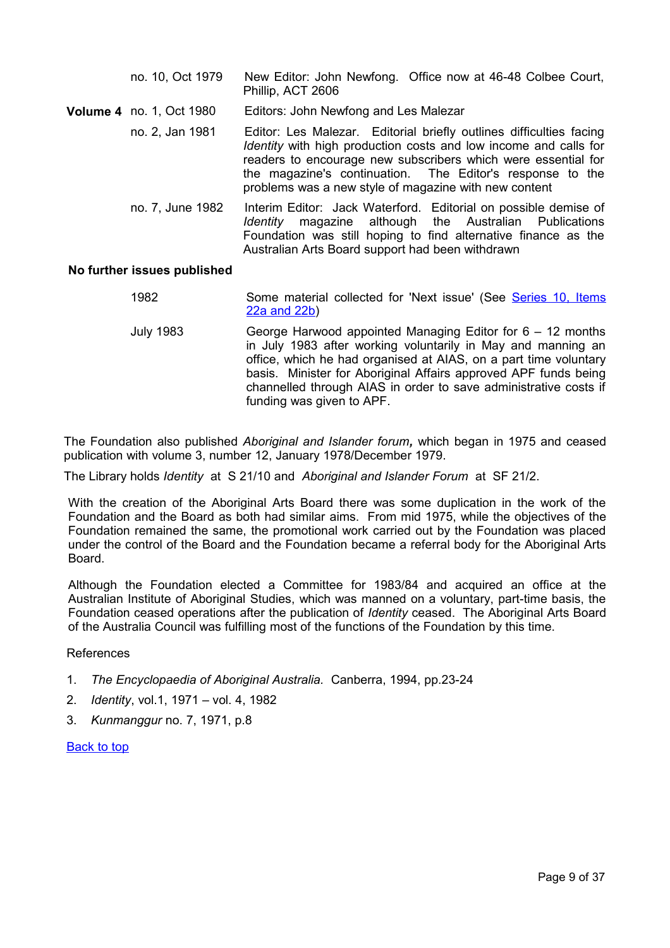| no. 10, Oct 1979                | New Editor: John Newfong. Office now at 46-48 Colbee Court,<br>Phillip, ACT 2606                                                                                                                                                                                                                                               |
|---------------------------------|--------------------------------------------------------------------------------------------------------------------------------------------------------------------------------------------------------------------------------------------------------------------------------------------------------------------------------|
| <b>Volume 4</b> no. 1, Oct 1980 | Editors: John Newfong and Les Malezar                                                                                                                                                                                                                                                                                          |
| no. 2, Jan 1981                 | Editor: Les Malezar. Editorial briefly outlines difficulties facing<br>Identity with high production costs and low income and calls for<br>readers to encourage new subscribers which were essential for<br>the magazine's continuation. The Editor's response to the<br>problems was a new style of magazine with new content |
| no. 7, June 1982                | Interim Editor: Jack Waterford. Editorial on possible demise of<br>magazine although the Australian Publications<br>Identity<br>Foundation was still hoping to find alternative finance as the<br>Australian Arts Board support had been withdrawn                                                                             |

## **No further issues published**

- 1982 Some material collected for 'Next issue' (See [Series 10, Items](#page-15-1) [22a and 22b\)](#page-15-1)
- July 1983 George Harwood appointed Managing Editor for 6 12 months in July 1983 after working voluntarily in May and manning an office, which he had organised at AIAS, on a part time voluntary basis. Minister for Aboriginal Affairs approved APF funds being channelled through AIAS in order to save administrative costs if funding was given to APF.

The Foundation also published *Aboriginal and Islander forum,* which began in 1975 and ceased publication with volume 3, number 12, January 1978/December 1979.

The Library holds *Identity* at S 21/10 and *Aboriginal and Islander Forum* at SF 21/2.

With the creation of the Aboriginal Arts Board there was some duplication in the work of the Foundation and the Board as both had similar aims. From mid 1975, while the objectives of the Foundation remained the same, the promotional work carried out by the Foundation was placed under the control of the Board and the Foundation became a referral body for the Aboriginal Arts Board.

Although the Foundation elected a Committee for 1983/84 and acquired an office at the Australian Institute of Aboriginal Studies, which was manned on a voluntary, part-time basis, the Foundation ceased operations after the publication of *Identity* ceased. The Aboriginal Arts Board of the Australia Council was fulfilling most of the functions of the Foundation by this time.

## References

- 1. *The Encyclopaedia of Aboriginal Australia.* Canberra, 1994, pp.23-24
- 2. *Identity*, vol.1, 1971 vol. 4, 1982
- 3. *Kunmanggur* no. 7, 1971, p.8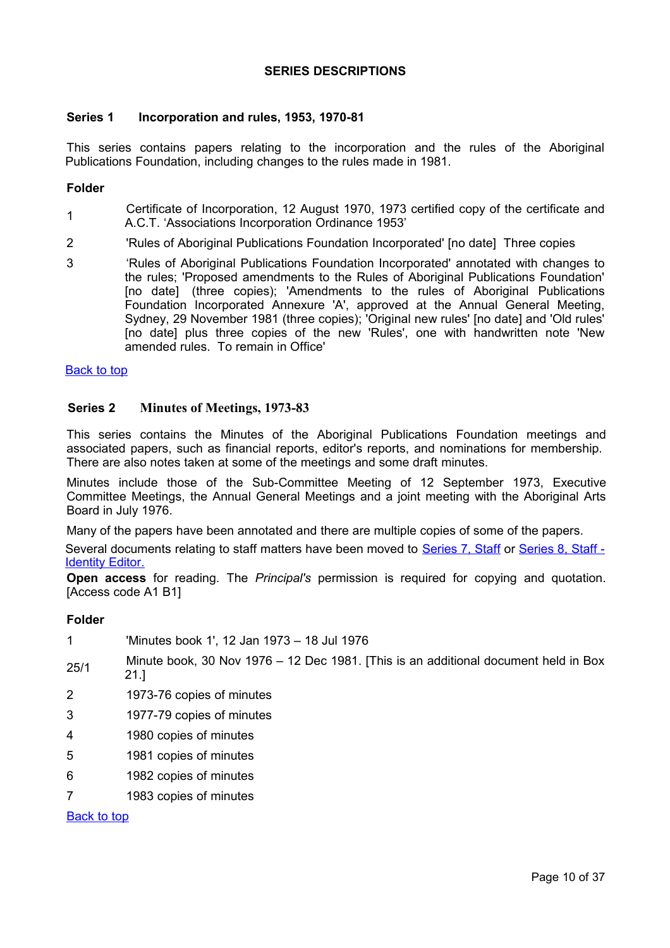## <span id="page-9-2"></span>**SERIES DESCRIPTIONS**

## <span id="page-9-1"></span>**Series 1 Incorporation and rules, 1953, 1970-81**

This series contains papers relating to the incorporation and the rules of the Aboriginal Publications Foundation, including changes to the rules made in 1981.

## **Folder**

- 1 Certificate of Incorporation, 12 August 1970, 1973 certified copy of the certificate and A.C.T. 'Associations Incorporation Ordinance 1953'
- 2 'Rules of Aboriginal Publications Foundation Incorporated' [no date] Three copies
- 3 'Rules of Aboriginal Publications Foundation Incorporated' annotated with changes to the rules; 'Proposed amendments to the Rules of Aboriginal Publications Foundation' [no date] (three copies); 'Amendments to the rules of Aboriginal Publications Foundation Incorporated Annexure 'A', approved at the Annual General Meeting, Sydney, 29 November 1981 (three copies); 'Original new rules' [no date] and 'Old rules' [no date] plus three copies of the new 'Rules', one with handwritten note 'New amended rules. To remain in Office'

## [Back to top](#page-0-0)

## <span id="page-9-0"></span>**Series 2 Minutes of Meetings, 1973-83**

This series contains the Minutes of the Aboriginal Publications Foundation meetings and associated papers, such as financial reports, editor's reports, and nominations for membership. There are also notes taken at some of the meetings and some draft minutes.

Minutes include those of the Sub-Committee Meeting of 12 September 1973, Executive Committee Meetings, the Annual General Meetings and a joint meeting with the Aboriginal Arts Board in July 1976.

Many of the papers have been annotated and there are multiple copies of some of the papers.

<span id="page-9-3"></span>Several documents relating to staff matters have been moved to [Series 7, Staff](#page-13-2) or [Series 8, Staff -](#page-13-1)  [Identity Editor](#page-13-1)[.](#page-9-3)

**Open access** for reading. The *Principal's* permission is required for copying and quotation. [Access code A1 B1]

## **Folder**

|      | 'Minutes book 1', 12 Jan 1973 – 18 Jul 1976                                         |
|------|-------------------------------------------------------------------------------------|
| 25/1 | Minute book, 30 Nov 1976 – 12 Dec 1981. [This is an additional document held in Box |

- 21.]
- 2 1973-76 copies of minutes
- 3 1977-79 copies of minutes
- 4 1980 copies of minutes
- 5 1981 copies of minutes
- 6 1982 copies of minutes
- 7 1983 copies of minutes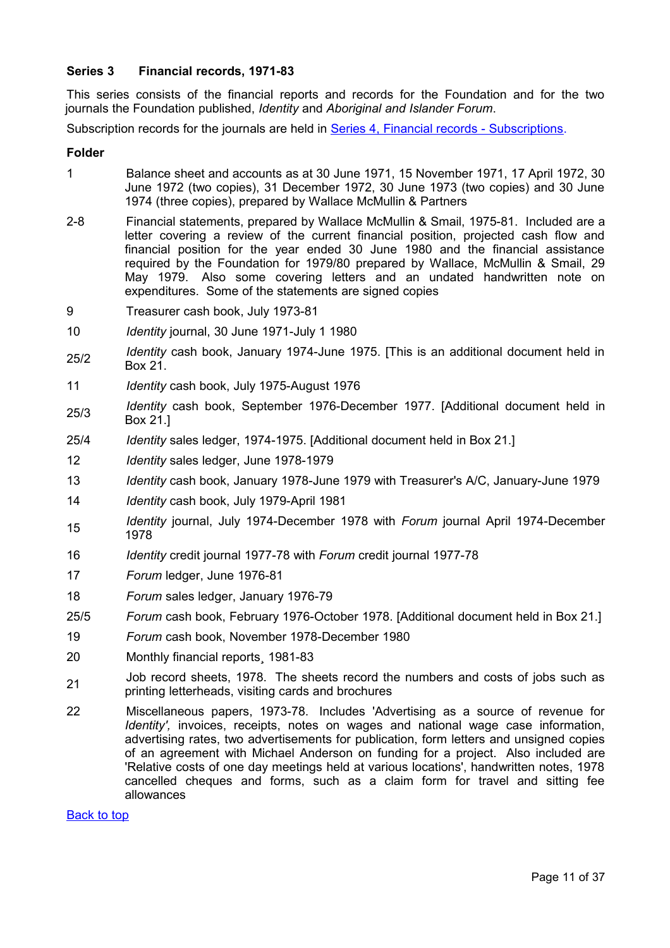## <span id="page-10-0"></span>**Series 3 Financial records, 1971-83**

This series consists of the financial reports and records for the Foundation and for the two journals the Foundation published, *Identity* and *Aboriginal and Islander Forum*.

Subscription records for the journals are held in [Series 4, Financial records - Subscriptions.](#page-11-1)

## **Folder**

- 1 Balance sheet and accounts as at 30 June 1971, 15 November 1971, 17 April 1972, 30 June 1972 (two copies), 31 December 1972, 30 June 1973 (two copies) and 30 June 1974 (three copies), prepared by Wallace McMullin & Partners
- 2-8 Financial statements, prepared by Wallace McMullin & Smail, 1975-81. Included are a letter covering a review of the current financial position, projected cash flow and financial position for the year ended 30 June 1980 and the financial assistance required by the Foundation for 1979/80 prepared by Wallace, McMullin & Smail, 29 May 1979. Also some covering letters and an undated handwritten note on expenditures. Some of the statements are signed copies
- 9 Treasurer cash book, July 1973-81
- 10 *Identity* journal, 30 June 1971-July 1 1980
- 25/2 *Identity* cash book, January 1974-June 1975. [This is an additional document held in Box 21.
- 11 *Identity* cash book, July 1975-August 1976
- 25/3 *Identity* cash book, September 1976-December 1977. [Additional document held in Box 21.]
- 25/4 *Identity* sales ledger, 1974-1975. [Additional document held in Box 21.]
- 12 *Identity* sales ledger, June 1978-1979
- 13 *Identity* cash book, January 1978-June 1979 with Treasurer's A/C, January-June 1979
- 14 *Identity* cash book, July 1979-April 1981
- <sup>15</sup> *Identity* journal, July 1974-December 1978 with *Forum* journal April 1974-December 1978
- 16 *Identity* credit journal 1977-78 with *Forum* credit journal 1977-78
- 17 *Forum* ledger, June 1976-81
- 18 *Forum* sales ledger, January 1976-79
- 25/5 *Forum* cash book, February 1976-October 1978. [Additional document held in Box 21.]
- 19 *Forum* cash book, November 1978-December 1980
- 20 Monthly financial reports¸ 1981-83
- 21 Job record sheets, 1978. The sheets record the numbers and costs of jobs such as printing letterheads, visiting cards and brochures
- 22 Miscellaneous papers, 1973-78. Includes 'Advertising as a source of revenue for *Identity'*, invoices, receipts, notes on wages and national wage case information, advertising rates, two advertisements for publication, form letters and unsigned copies of an agreement with Michael Anderson on funding for a project. Also included are 'Relative costs of one day meetings held at various locations', handwritten notes, 1978 cancelled cheques and forms, such as a claim form for travel and sitting fee allowances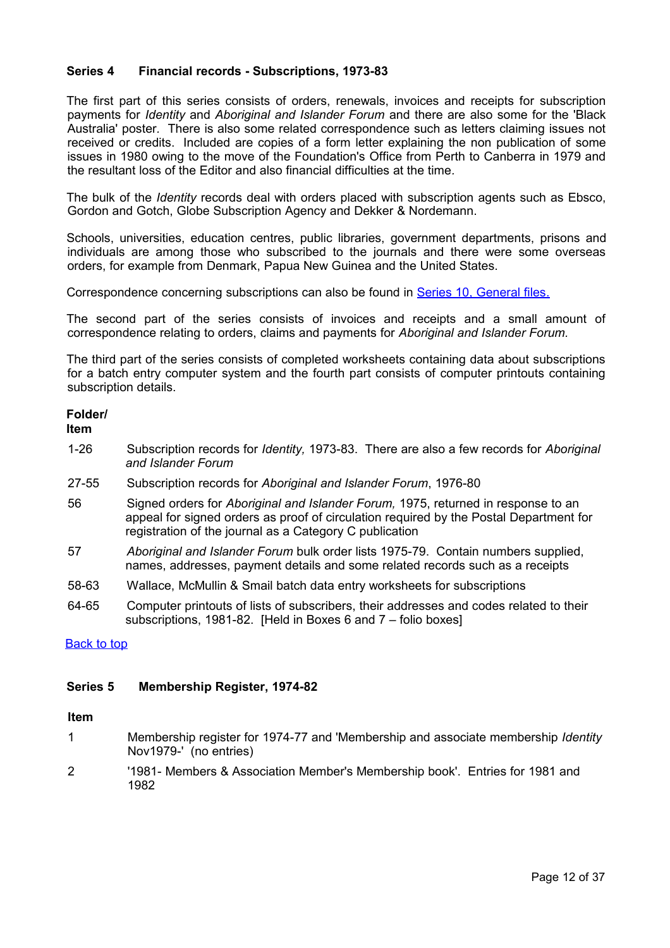## <span id="page-11-1"></span>**Series 4 Financial records - Subscriptions, 1973-83**

The first part of this series consists of orders, renewals, invoices and receipts for subscription payments for *Identity* and *Aboriginal and Islander Forum* and there are also some for the 'Black Australia' poster*.* There is also some related correspondence such as letters claiming issues not received or credits. Included are copies of a form letter explaining the non publication of some issues in 1980 owing to the move of the Foundation's Office from Perth to Canberra in 1979 and the resultant loss of the Editor and also financial difficulties at the time*.* 

The bulk of the *Identity* records deal with orders placed with subscription agents such as Ebsco, Gordon and Gotch, Globe Subscription Agency and Dekker & Nordemann.

Schools, universities, education centres, public libraries, government departments, prisons and individuals are among those who subscribed to the journals and there were some overseas orders, for example from Denmark, Papua New Guinea and the United States.

Correspondence concerning subscriptions can also be found in [Series 10, General files.](#page-14-0)

The second part of the series consists of invoices and receipts and a small amount of correspondence relating to orders, claims and payments for *Aboriginal and Islander Forum.*

The third part of the series consists of completed worksheets containing data about subscriptions for a batch entry computer system and the fourth part consists of computer printouts containing subscription details.

# **Folder/**

**Item**

- 1-26 Subscription records for *Identity,* 1973-83. There are also a few records for *Aboriginal and Islander Forum*
- 27-55 Subscription records for *Aboriginal and Islander Forum*, 1976-80
- 56 Signed orders for *Aboriginal and Islander Forum,* 1975, returned in response to an appeal for signed orders as proof of circulation required by the Postal Department for registration of the journal as a Category C publication
- 57 *Aboriginal and Islander Forum* bulk order lists 1975-79. Contain numbers supplied, names, addresses, payment details and some related records such as a receipts
- 58-63 Wallace, McMullin & Smail batch data entry worksheets for subscriptions
- 64-65 Computer printouts of lists of subscribers, their addresses and codes related to their subscriptions, 1981-82. [Held in Boxes 6 and 7 – folio boxes]

## [Back to top](#page-0-0)

## <span id="page-11-0"></span>**Series 5 Membership Register, 1974-82**

## **Item**

- 1 Membership register for 1974-77 and 'Membership and associate membership *Identity*  Nov1979-' (no entries)
- 2 '1981- Members & Association Member's Membership book'. Entries for 1981 and 1982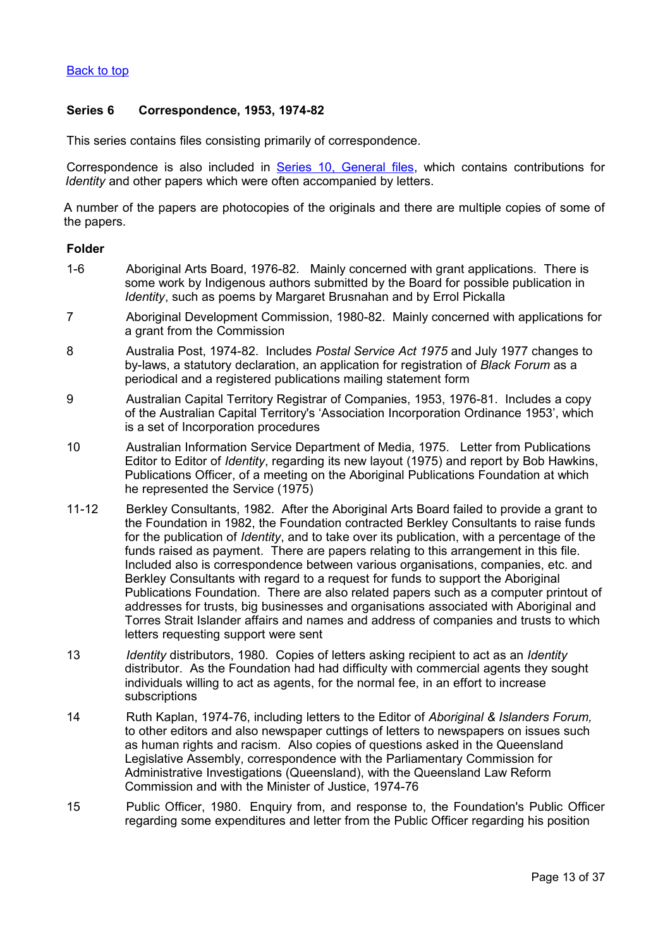## [Back to top](#page-0-0)

## <span id="page-12-0"></span>**Series 6 Correspondence, 1953, 1974-82**

This series contains files consisting primarily of correspondence.

Correspondence is also included in [Series 10, General files,](#page-14-0) which contains contributions for *Identity* and other papers which were often accompanied by letters.

A number of the papers are photocopies of the originals and there are multiple copies of some of the papers.

#### **Folder**

- 1-6 Aboriginal Arts Board, 1976-82. Mainly concerned with grant applications. There is some work by Indigenous authors submitted by the Board for possible publication in *Identity*, such as poems by Margaret Brusnahan and by Errol Pickalla
- 7 Aboriginal Development Commission, 1980-82. Mainly concerned with applications for a grant from the Commission
- 8 Australia Post, 1974-82. Includes *Postal Service Act 1975* and July 1977 changes to by-laws, a statutory declaration, an application for registration of *Black Forum* as a periodical and a registered publications mailing statement form
- 9 Australian Capital Territory Registrar of Companies, 1953, 1976-81. Includes a copy of the Australian Capital Territory's 'Association Incorporation Ordinance 1953', which is a set of Incorporation procedures
- 10 Australian Information Service Department of Media, 1975. Letter from Publications Editor to Editor of *Identity*, regarding its new layout (1975) and report by Bob Hawkins, Publications Officer, of a meeting on the Aboriginal Publications Foundation at which he represented the Service (1975)
- 11-12 Berkley Consultants, 1982. After the Aboriginal Arts Board failed to provide a grant to the Foundation in 1982, the Foundation contracted Berkley Consultants to raise funds for the publication of *Identity*, and to take over its publication, with a percentage of the funds raised as payment. There are papers relating to this arrangement in this file. Included also is correspondence between various organisations, companies, etc. and Berkley Consultants with regard to a request for funds to support the Aboriginal Publications Foundation. There are also related papers such as a computer printout of addresses for trusts, big businesses and organisations associated with Aboriginal and Torres Strait Islander affairs and names and address of companies and trusts to which letters requesting support were sent
- 13 *Identity* distributors, 1980. Copies of letters asking recipient to act as an *Identity*  distributor. As the Foundation had had difficulty with commercial agents they sought individuals willing to act as agents, for the normal fee, in an effort to increase subscriptions
- 14 Ruth Kaplan, 1974-76, including letters to the Editor of *Aboriginal & Islanders Forum,* to other editors and also newspaper cuttings of letters to newspapers on issues such as human rights and racism. Also copies of questions asked in the Queensland Legislative Assembly, correspondence with the Parliamentary Commission for Administrative Investigations (Queensland), with the Queensland Law Reform Commission and with the Minister of Justice, 1974-76
- 15 Public Officer, 1980. Enquiry from, and response to, the Foundation's Public Officer regarding some expenditures and letter from the Public Officer regarding his position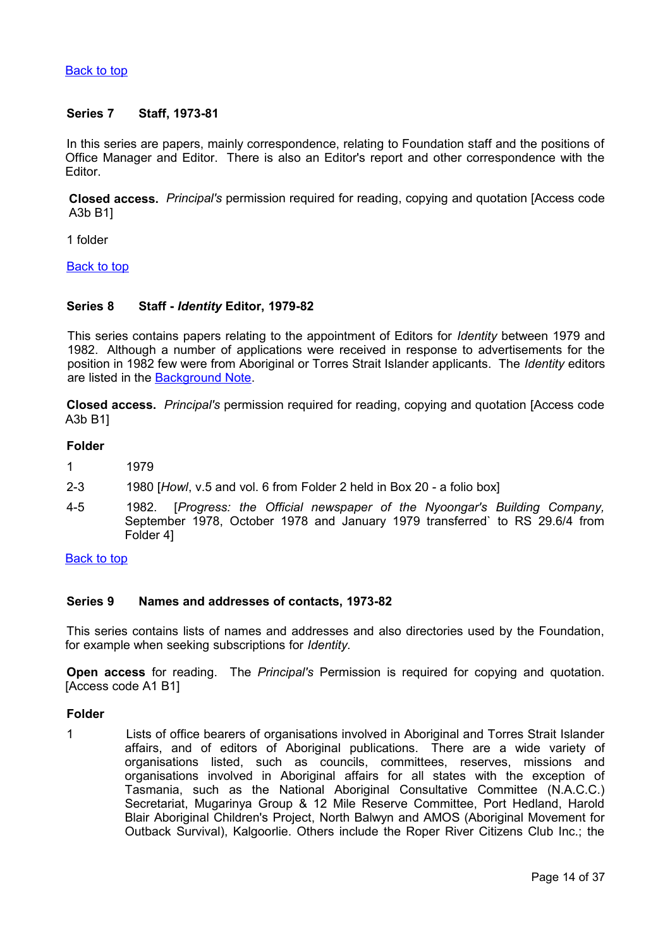## [Back to top](#page-0-0)

## <span id="page-13-2"></span>**Series 7 Staff, 1973-81**

In this series are papers, mainly correspondence, relating to Foundation staff and the positions of Office Manager and Editor. There is also an Editor's report and other correspondence with the Editor.

**Closed access.** *Principal's* permission required for reading, copying and quotation [Access code A3b B1]

1 folder

[Back to top](#page-0-0)

## <span id="page-13-1"></span>**Series 8 Staff -** *Identity* **Editor, 1979-82**

This series contains papers relating to the appointment of Editors for *Identity* between 1979 and 1982. Although a number of applications were received in response to advertisements for the position in 1982 few were from Aboriginal or Torres Strait Islander applicants. The *Identity* editors are listed in the [Background Note.](#page-4-0)

**Closed access.** *Principal's* permission required for reading, copying and quotation [Access code A3b B1]

## **Folder**

- 1 1979
- 2-3 1980 [*Howl*, v.5 and vol. 6 from Folder 2 held in Box 20 a folio box]
- 4-5 1982. [*Progress: the Official newspaper of the Nyoongar's Building Company,* September 1978, October 1978 and January 1979 transferred` to RS 29.6/4 from Folder 4]

#### **[Back to top](#page-0-0)**

## <span id="page-13-0"></span>**Series 9 Names and addresses of contacts, 1973-82**

This series contains lists of names and addresses and also directories used by the Foundation, for example when seeking subscriptions for *Identity.*

**Open access** for reading. The *Principal's* Permission is required for copying and quotation. [Access code A1 B1]

#### **Folder**

1 Lists of office bearers of organisations involved in Aboriginal and Torres Strait Islander affairs, and of editors of Aboriginal publications. There are a wide variety of organisations listed, such as councils, committees, reserves, missions and organisations involved in Aboriginal affairs for all states with the exception of Tasmania, such as the National Aboriginal Consultative Committee (N.A.C.C.) Secretariat, Mugarinya Group & 12 Mile Reserve Committee, Port Hedland, Harold Blair Aboriginal Children's Project, North Balwyn and AMOS (Aboriginal Movement for Outback Survival), Kalgoorlie. Others include the Roper River Citizens Club Inc.; the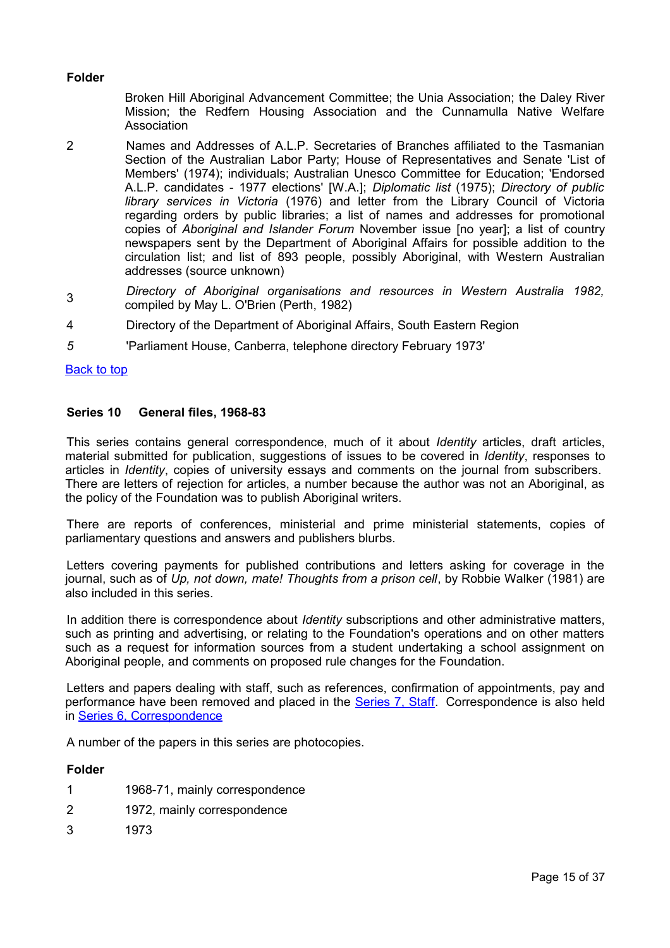## **Folder**

Broken Hill Aboriginal Advancement Committee; the Unia Association; the Daley River Mission; the Redfern Housing Association and the Cunnamulla Native Welfare Association

- 2 Names and Addresses of A.L.P. Secretaries of Branches affiliated to the Tasmanian Section of the Australian Labor Party; House of Representatives and Senate 'List of Members' (1974); individuals; Australian Unesco Committee for Education; 'Endorsed A.L.P. candidates - 1977 elections' [W.A.]; *Diplomatic list* (1975); *Directory of public library services in Victoria* (1976) and letter from the Library Council of Victoria regarding orders by public libraries; a list of names and addresses for promotional copies of *Aboriginal and Islander Forum* November issue [no year]; a list of country newspapers sent by the Department of Aboriginal Affairs for possible addition to the circulation list; and list of 893 people, possibly Aboriginal, with Western Australian addresses (source unknown)
- 3 *Directory of Aboriginal organisations and resources in Western Australia 1982,* compiled by May L. O'Brien (Perth, 1982)
- 4 Directory of the Department of Aboriginal Affairs, South Eastern Region
- *5* 'Parliament House, Canberra, telephone directory February 1973'

## [Back to top](#page-0-0)

## <span id="page-14-0"></span>**Series 10 General files, 1968-83**

This series contains general correspondence, much of it about *Identity* articles, draft articles, material submitted for publication, suggestions of issues to be covered in *Identity*, responses to articles in *Identity*, copies of university essays and comments on the journal from subscribers. There are letters of rejection for articles, a number because the author was not an Aboriginal, as the policy of the Foundation was to publish Aboriginal writers.

There are reports of conferences, ministerial and prime ministerial statements, copies of parliamentary questions and answers and publishers blurbs.

Letters covering payments for published contributions and letters asking for coverage in the journal, such as of *Up, not down, mate! Thoughts from a prison cell*, by Robbie Walker (1981) are also included in this series.

In addition there is correspondence about *Identity* subscriptions and other administrative matters, such as printing and advertising, or relating to the Foundation's operations and on other matters such as a request for information sources from a student undertaking a school assignment on Aboriginal people, and comments on proposed rule changes for the Foundation.

Letters and papers dealing with staff, such as references, confirmation of appointments, pay and performance have been removed and placed in the **Series 7, Staff**. Correspondence is also held in [Series 6, Correspondence](#page-12-0)

A number of the papers in this series are photocopies.

## **Folder**

- 1 1968-71, mainly correspondence
- 2 1972, mainly correspondence
- 3 1973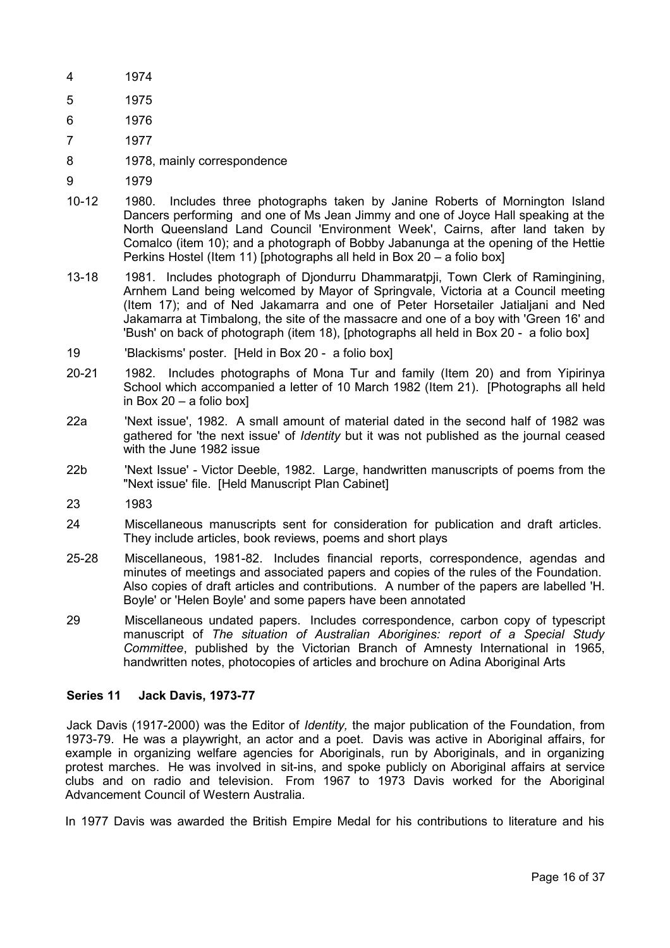- 4 1974
- 5 1975
- 6 1976
- 7 1977
- 8 1978, mainly correspondence
- 9 1979
- 10-12 1980. Includes three photographs taken by Janine Roberts of Mornington Island Dancers performing and one of Ms Jean Jimmy and one of Joyce Hall speaking at the North Queensland Land Council 'Environment Week', Cairns, after land taken by Comalco (item 10); and a photograph of Bobby Jabanunga at the opening of the Hettie Perkins Hostel (Item 11) [photographs all held in Box 20 – a folio box]
- 13-18 1981. Includes photograph of Djondurru Dhammaratpji, Town Clerk of Ramingining, Arnhem Land being welcomed by Mayor of Springvale, Victoria at a Council meeting (Item 17); and of Ned Jakamarra and one of Peter Horsetailer Jatialjani and Ned Jakamarra at Timbalong, the site of the massacre and one of a boy with 'Green 16' and 'Bush' on back of photograph (item 18), [photographs all held in Box 20 - a folio box]
- 19 'Blackisms' poster. [Held in Box 20 a folio box]
- 20-21 1982. Includes photographs of Mona Tur and family (Item 20) and from Yipirinya School which accompanied a letter of 10 March 1982 (Item 21). [Photographs all held in Box 20 – a folio box]
- <span id="page-15-1"></span>22a 'Next issue', 1982. A small amount of material dated in the second half of 1982 was gathered for 'the next issue' of *Identity* but it was not published as the journal ceased with the June 1982 issue
- 22b 'Next Issue' Victor Deeble, 1982. Large, handwritten manuscripts of poems from the "Next issue' file. [Held Manuscript Plan Cabinet]
- 23 1983
- 24 Miscellaneous manuscripts sent for consideration for publication and draft articles. They include articles, book reviews, poems and short plays
- 25-28 Miscellaneous, 1981-82. Includes financial reports, correspondence, agendas and minutes of meetings and associated papers and copies of the rules of the Foundation. Also copies of draft articles and contributions. A number of the papers are labelled 'H. Boyle' or 'Helen Boyle' and some papers have been annotated
- 29 Miscellaneous undated papers. Includes correspondence, carbon copy of typescript manuscript of *The situation of Australian Aborigines: report of a Special Study Committee*, published by the Victorian Branch of Amnesty International in 1965, handwritten notes, photocopies of articles and brochure on Adina Aboriginal Arts

## <span id="page-15-0"></span>**Series 11 Jack Davis, 1973-77**

Jack Davis (1917-2000) was the Editor of *Identity,* the major publication of the Foundation, from 1973-79. He was a playwright, an actor and a poet. Davis was active in Aboriginal affairs, for example in organizing welfare agencies for Aboriginals, run by Aboriginals, and in organizing protest marches. He was involved in sit-ins, and spoke publicly on Aboriginal affairs at service clubs and on radio and television. From 1967 to 1973 Davis worked for the Aboriginal Advancement Council of Western Australia.

In 1977 Davis was awarded the British Empire Medal for his contributions to literature and his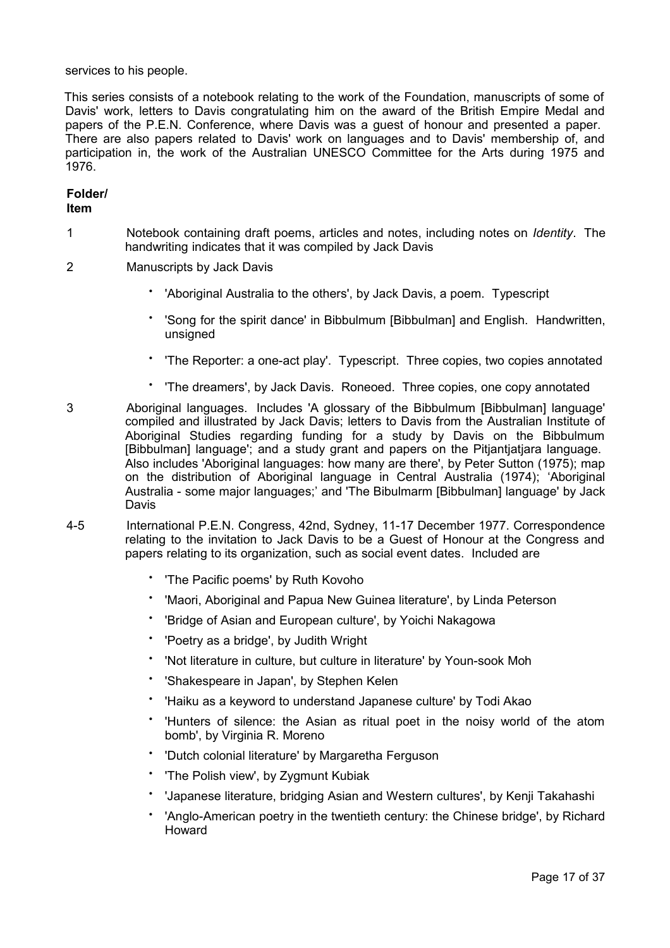services to his people.

This series consists of a notebook relating to the work of the Foundation, manuscripts of some of Davis' work, letters to Davis congratulating him on the award of the British Empire Medal and papers of the P.E.N. Conference, where Davis was a guest of honour and presented a paper. There are also papers related to Davis' work on languages and to Davis' membership of, and participation in, the work of the Australian UNESCO Committee for the Arts during 1975 and 1976.

# **Folder/**

# **Item**

- 1 Notebook containing draft poems, articles and notes, including notes on *Identity*. The handwriting indicates that it was compiled by Jack Davis
- 2 Manuscripts by Jack Davis
	- 'Aboriginal Australia to the others', by Jack Davis, a poem. Typescript
	- 'Song for the spirit dance' in Bibbulmum [Bibbulman] and English. Handwritten, unsigned
	- 'The Reporter: a one-act play'. Typescript. Three copies, two copies annotated
	- 'The dreamers', by Jack Davis. Roneoed. Three copies, one copy annotated
- 3 Aboriginal languages. Includes 'A glossary of the Bibbulmum [Bibbulman] language' compiled and illustrated by Jack Davis; letters to Davis from the Australian Institute of Aboriginal Studies regarding funding for a study by Davis on the Bibbulmum [Bibbulman] language'; and a study grant and papers on the Pitjantjatjara language. Also includes 'Aboriginal languages: how many are there', by Peter Sutton (1975); map on the distribution of Aboriginal language in Central Australia (1974); 'Aboriginal Australia - some major languages;' and 'The Bibulmarm [Bibbulman] language' by Jack Davis
- 4-5 International P.E.N. Congress, 42nd, Sydney, 11-17 December 1977. Correspondence relating to the invitation to Jack Davis to be a Guest of Honour at the Congress and papers relating to its organization, such as social event dates. Included are
	- 'The Pacific poems' by Ruth Kovoho
	- 'Maori, Aboriginal and Papua New Guinea literature', by Linda Peterson
	- 'Bridge of Asian and European culture', by Yoichi Nakagowa
	- 'Poetry as a bridge', by Judith Wright
	- 'Not literature in culture, but culture in literature' by Youn-sook Moh
	- 'Shakespeare in Japan', by Stephen Kelen
	- 'Haiku as a keyword to understand Japanese culture' by Todi Akao
	- 'Hunters of silence: the Asian as ritual poet in the noisy world of the atom bomb', by Virginia R. Moreno
	- 'Dutch colonial literature' by Margaretha Ferguson
	- 'The Polish view', by Zygmunt Kubiak
	- 'Japanese literature, bridging Asian and Western cultures', by Kenji Takahashi
	- 'Anglo-American poetry in the twentieth century: the Chinese bridge', by Richard Howard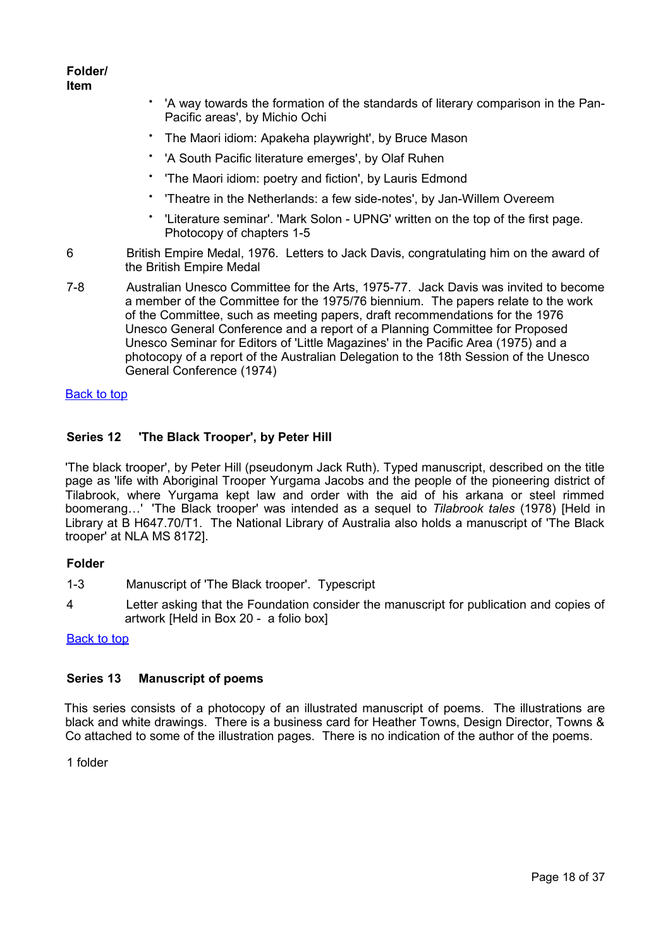**Folder/ Item**

- 'A way towards the formation of the standards of literary comparison in the Pan-Pacific areas', by Michio Ochi
- The Maori idiom: Apakeha playwright', by Bruce Mason
- 'A South Pacific literature emerges', by Olaf Ruhen
- 'The Maori idiom: poetry and fiction', by Lauris Edmond
- 'Theatre in the Netherlands: a few side-notes', by Jan-Willem Overeem
- 'Literature seminar'. 'Mark Solon UPNG' written on the top of the first page. Photocopy of chapters 1-5
- 6 British Empire Medal, 1976. Letters to Jack Davis, congratulating him on the award of the British Empire Medal
- 7-8 Australian Unesco Committee for the Arts, 1975-77. Jack Davis was invited to become a member of the Committee for the 1975/76 biennium. The papers relate to the work of the Committee, such as meeting papers, draft recommendations for the 1976 Unesco General Conference and a report of a Planning Committee for Proposed Unesco Seminar for Editors of 'Little Magazines' in the Pacific Area (1975) and a photocopy of a report of the Australian Delegation to the 18th Session of the Unesco General Conference (1974)

## [Back to top](#page-0-0)

## <span id="page-17-1"></span>**Series 12 'The Black Trooper', by Peter Hill**

'The black trooper', by Peter Hill (pseudonym Jack Ruth). Typed manuscript, described on the title page as 'life with Aboriginal Trooper Yurgama Jacobs and the people of the pioneering district of Tilabrook, where Yurgama kept law and order with the aid of his arkana or steel rimmed boomerang…' 'The Black trooper' was intended as a sequel to *Tilabrook tales* (1978) [Held in Library at B H647.70/T1. The National Library of Australia also holds a manuscript of 'The Black trooper' at NLA MS 8172].

## **Folder**

- 1-3 Manuscript of 'The Black trooper'. Typescript
- 4 Letter asking that the Foundation consider the manuscript for publication and copies of artwork [Held in Box 20 - a folio box]

## **[Back to top](#page-0-0)**

## <span id="page-17-0"></span>**Series 13 Manuscript of poems**

This series consists of a photocopy of an illustrated manuscript of poems. The illustrations are black and white drawings. There is a business card for Heather Towns, Design Director, Towns & Co attached to some of the illustration pages. There is no indication of the author of the poems.

1 folder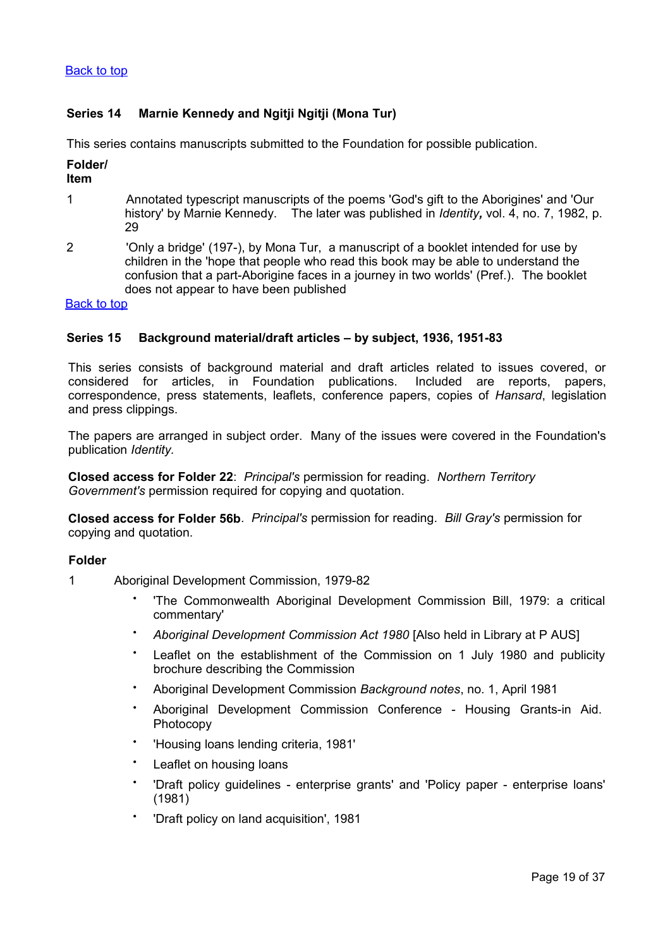# <span id="page-18-1"></span>**Series 14 Marnie Kennedy and Ngitji Ngitji (Mona Tur)**

This series contains manuscripts submitted to the Foundation for possible publication.

## **Folder/**

## **Item**

- 1 Annotated typescript manuscripts of the poems 'God's gift to the Aborigines' and 'Our history' by Marnie Kennedy. The later was published in *Identity,* vol. 4, no. 7, 1982, p. 29
- 2 'Only a bridge' (197-), by Mona Tur, a manuscript of a booklet intended for use by children in the 'hope that people who read this book may be able to understand the confusion that a part-Aborigine faces in a journey in two worlds' (Pref.). The booklet does not appear to have been published

## [Back to top](#page-0-0)

## <span id="page-18-0"></span>**Series 15 Background material/draft articles – by subject, 1936, 1951-83**

This series consists of background material and draft articles related to issues covered, or considered for articles, in Foundation publications. Included are reports, papers, correspondence, press statements, leaflets, conference papers, copies of *Hansard*, legislation and press clippings.

The papers are arranged in subject order. Many of the issues were covered in the Foundation's publication *Identity.*

**Closed access for Folder 22**: *Principal's* permission for reading. *Northern Territory Government's* permission required for copying and quotation.

**Closed access for Folder 56b**. *Principal's* permission for reading. *Bill Gray's* permission for copying and quotation.

## **Folder**

- 1 Aboriginal Development Commission, 1979-82
	- 'The Commonwealth Aboriginal Development Commission Bill, 1979: a critical commentary'
	- *Aboriginal Development Commission Act 1980* [Also held in Library at P AUS]
	- Leaflet on the establishment of the Commission on 1 July 1980 and publicity brochure describing the Commission
	- Aboriginal Development Commission *Background notes*, no. 1, April 1981
	- Aboriginal Development Commission Conference Housing Grants-in Aid. Photocopy
	- 'Housing loans lending criteria, 1981'
	- Leaflet on housing loans
	- 'Draft policy guidelines - enterprise grants' and 'Policy paper - enterprise loans' (1981)
	- 'Draft policy on land acquisition', 1981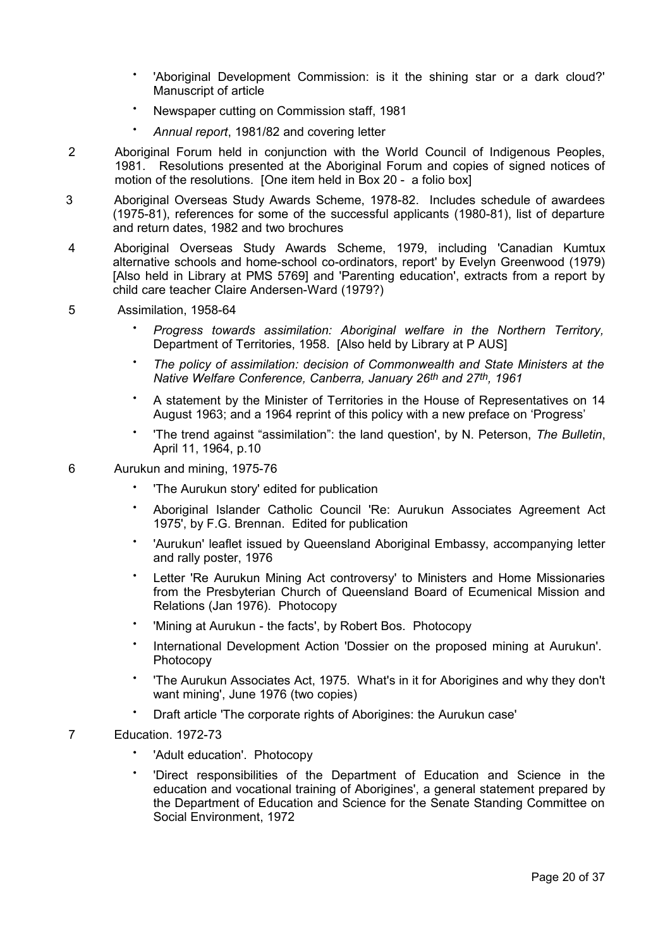- 'Aboriginal Development Commission: is it the shining star or a dark cloud?' Manuscript of article
- Newspaper cutting on Commission staff, 1981
- *Annual report*, 1981/82 and covering letter
- 2 Aboriginal Forum held in conjunction with the World Council of Indigenous Peoples, 1981. Resolutions presented at the Aboriginal Forum and copies of signed notices of motion of the resolutions. [One item held in Box 20 - a folio box]
- 3 Aboriginal Overseas Study Awards Scheme, 1978-82. Includes schedule of awardees (1975-81), references for some of the successful applicants (1980-81), list of departure and return dates, 1982 and two brochures
- 4 Aboriginal Overseas Study Awards Scheme, 1979, including 'Canadian Kumtux alternative schools and home-school co-ordinators, report' by Evelyn Greenwood (1979) [Also held in Library at PMS 5769] and 'Parenting education', extracts from a report by child care teacher Claire Andersen-Ward (1979?)
- 5 Assimilation, 1958-64
	- *Progress towards assimilation: Aboriginal welfare in the Northern Territory,* Department of Territories, 1958. [Also held by Library at P AUS]
	- *The policy of assimilation: decision of Commonwealth and State Ministers at the Native Welfare Conference, Canberra, January 26th and 27th, 1961*
	- A statement by the Minister of Territories in the House of Representatives on 14 August 1963; and a 1964 reprint of this policy with a new preface on 'Progress'
	- 'The trend against "assimilation": the land question', by N. Peterson, *The Bulletin*, April 11, 1964, p.10
- 6 Aurukun and mining, 1975-76
	- 'The Aurukun story' edited for publication
	- Aboriginal Islander Catholic Council 'Re: Aurukun Associates Agreement Act 1975', by F.G. Brennan. Edited for publication
	- 'Aurukun' leaflet issued by Queensland Aboriginal Embassy, accompanying letter and rally poster, 1976
	- Letter 'Re Aurukun Mining Act controversy' to Ministers and Home Missionaries from the Presbyterian Church of Queensland Board of Ecumenical Mission and Relations (Jan 1976). Photocopy
	- 'Mining at Aurukun - the facts', by Robert Bos. Photocopy
	- International Development Action 'Dossier on the proposed mining at Aurukun'. Photocopy
	- 'The Aurukun Associates Act, 1975. What's in it for Aborigines and why they don't want mining', June 1976 (two copies)
	- Draft article 'The corporate rights of Aborigines: the Aurukun case'
- 7 Education. 1972-73
	- 'Adult education'. Photocopy
	- 'Direct responsibilities of the Department of Education and Science in the education and vocational training of Aborigines', a general statement prepared by the Department of Education and Science for the Senate Standing Committee on Social Environment, 1972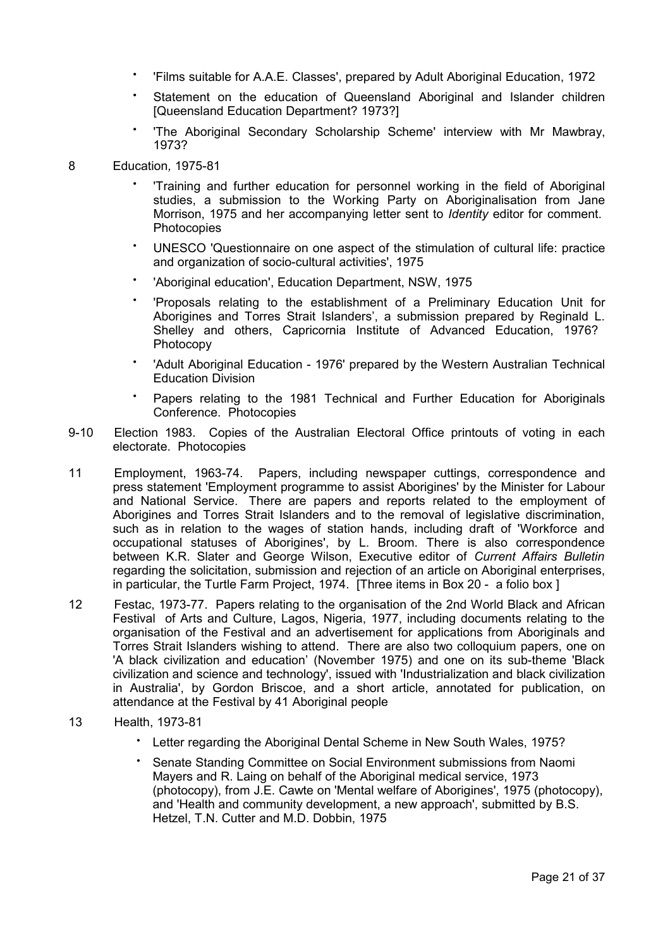- 'Films suitable for A.A.E. Classes', prepared by Adult Aboriginal Education, 1972
- Statement on the education of Queensland Aboriginal and Islander children [Queensland Education Department? 1973?]
- 'The Aboriginal Secondary Scholarship Scheme' interview with Mr Mawbray, 1973?

## 8 Education*,* 1975-81

- 'Training and further education for personnel working in the field of Aboriginal studies, a submission to the Working Party on Aboriginalisation from Jane Morrison, 1975 and her accompanying letter sent to *Identity* editor for comment. Photocopies
- UNESCO 'Questionnaire on one aspect of the stimulation of cultural life: practice and organization of socio-cultural activities', 1975
- 'Aboriginal education', Education Department, NSW, 1975
- 'Proposals relating to the establishment of a Preliminary Education Unit for Aborigines and Torres Strait Islanders', a submission prepared by Reginald L. Shelley and others, Capricornia Institute of Advanced Education, 1976? Photocopy
- 'Adult Aboriginal Education - 1976' prepared by the Western Australian Technical Education Division
- Papers relating to the 1981 Technical and Further Education for Aboriginals Conference. Photocopies
- 9-10 Election 1983. Copies of the Australian Electoral Office printouts of voting in each electorate. Photocopies
- 11 Employment, 1963-74. Papers, including newspaper cuttings, correspondence and press statement 'Employment programme to assist Aborigines' by the Minister for Labour and National Service. There are papers and reports related to the employment of Aborigines and Torres Strait Islanders and to the removal of legislative discrimination, such as in relation to the wages of station hands, including draft of 'Workforce and occupational statuses of Aborigines', by L. Broom. There is also correspondence between K.R. Slater and George Wilson, Executive editor of *Current Affairs Bulletin* regarding the solicitation, submission and rejection of an article on Aboriginal enterprises, in particular, the Turtle Farm Project, 1974. [Three items in Box 20 - a folio box ]
- 12 Festac, 1973-77. Papers relating to the organisation of the 2nd World Black and African Festival of Arts and Culture, Lagos, Nigeria, 1977, including documents relating to the organisation of the Festival and an advertisement for applications from Aboriginals and Torres Strait Islanders wishing to attend. There are also two colloquium papers, one on 'A black civilization and education' (November 1975) and one on its sub-theme 'Black civilization and science and technology', issued with 'Industrialization and black civilization in Australia', by Gordon Briscoe, and a short article, annotated for publication, on attendance at the Festival by 41 Aboriginal people
- 13 Health, 1973-81
	- Letter regarding the Aboriginal Dental Scheme in New South Wales, 1975?
	- Senate Standing Committee on Social Environment submissions from Naomi Mayers and R. Laing on behalf of the Aboriginal medical service, 1973 (photocopy), from J.E. Cawte on 'Mental welfare of Aborigines', 1975 (photocopy), and 'Health and community development, a new approach', submitted by B.S. Hetzel, T.N. Cutter and M.D. Dobbin, 1975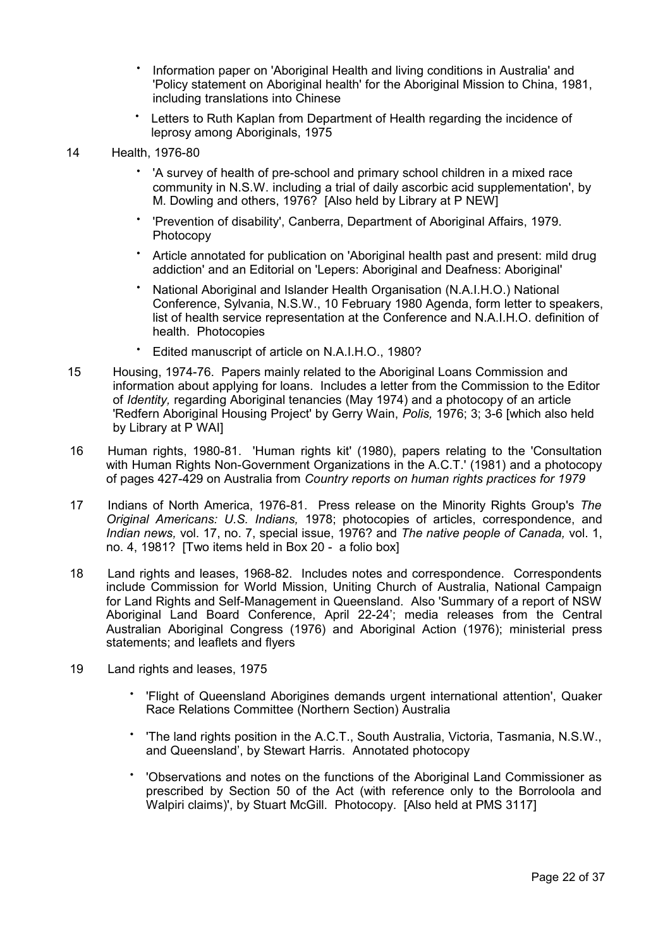- Information paper on 'Aboriginal Health and living conditions in Australia' and 'Policy statement on Aboriginal health' for the Aboriginal Mission to China, 1981, including translations into Chinese
- Letters to Ruth Kaplan from Department of Health regarding the incidence of leprosy among Aboriginals, 1975
- 14 Health, 1976-80
	- 'A survey of health of pre-school and primary school children in a mixed race community in N.S.W. including a trial of daily ascorbic acid supplementation', by M. Dowling and others, 1976? [Also held by Library at P NEW]
	- 'Prevention of disability', Canberra, Department of Aboriginal Affairs, 1979. Photocopy
	- Article annotated for publication on 'Aboriginal health past and present: mild drug addiction' and an Editorial on 'Lepers: Aboriginal and Deafness: Aboriginal'
	- National Aboriginal and Islander Health Organisation (N.A.I.H.O.) National Conference, Sylvania, N.S.W., 10 February 1980 Agenda, form letter to speakers, list of health service representation at the Conference and N.A.I.H.O. definition of health. Photocopies
	- Edited manuscript of article on N.A.I.H.O., 1980?
- 15 Housing, 1974-76. Papers mainly related to the Aboriginal Loans Commission and information about applying for loans. Includes a letter from the Commission to the Editor of *Identity,* regarding Aboriginal tenancies (May 1974) and a photocopy of an article 'Redfern Aboriginal Housing Project' by Gerry Wain, *Polis,* 1976; 3; 3-6 [which also held by Library at P WAI]
- 16 Human rights, 1980-81. 'Human rights kit' (1980), papers relating to the 'Consultation with Human Rights Non-Government Organizations in the A.C.T.' (1981) and a photocopy of pages 427-429 on Australia from *Country reports on human rights practices for 1979*
- 17 Indians of North America, 1976-81. Press release on the Minority Rights Group's *The Original Americans: U.S. Indians,* 1978; photocopies of articles, correspondence, and *Indian news,* vol. 17, no. 7, special issue, 1976? and *The native people of Canada,* vol. 1, no. 4, 1981? [Two items held in Box 20 - a folio box]
- 18 Land rights and leases, 1968-82. Includes notes and correspondence. Correspondents include Commission for World Mission, Uniting Church of Australia, National Campaign for Land Rights and Self-Management in Queensland. Also 'Summary of a report of NSW Aboriginal Land Board Conference, April 22-24'; media releases from the Central Australian Aboriginal Congress (1976) and Aboriginal Action (1976); ministerial press statements; and leaflets and flyers
- 19 Land rights and leases, 1975
	- 'Flight of Queensland Aborigines demands urgent international attention', Quaker Race Relations Committee (Northern Section) Australia
	- 'The land rights position in the A.C.T., South Australia, Victoria, Tasmania, N.S.W., and Queensland', by Stewart Harris. Annotated photocopy
	- 'Observations and notes on the functions of the Aboriginal Land Commissioner as prescribed by Section 50 of the Act (with reference only to the Borroloola and Walpiri claims)', by Stuart McGill. Photocopy. [Also held at PMS 3117]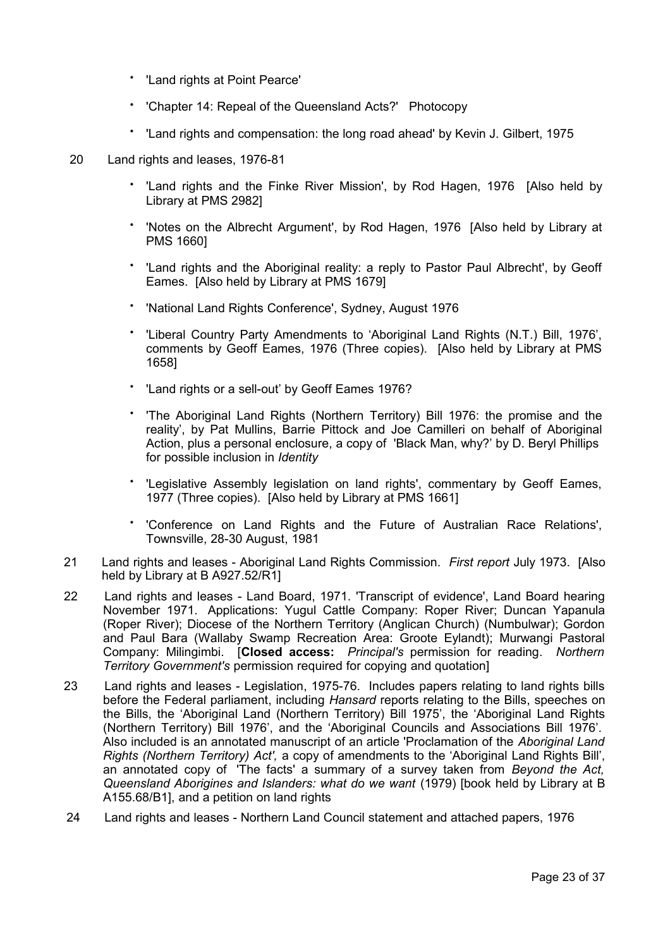- 'Land rights at Point Pearce'
- 'Chapter 14: Repeal of the Queensland Acts?' Photocopy
- 'Land rights and compensation: the long road ahead' by Kevin J. Gilbert, 1975
- 20 Land rights and leases, 1976-81
	- 'Land rights and the Finke River Mission', by Rod Hagen, 1976 [Also held by Library at PMS 2982]
	- 'Notes on the Albrecht Argument', by Rod Hagen, 1976 [Also held by Library at PMS 1660]
	- 'Land rights and the Aboriginal reality: a reply to Pastor Paul Albrecht', by Geoff Eames. [Also held by Library at PMS 1679]
	- 'National Land Rights Conference', Sydney, August 1976
	- 'Liberal Country Party Amendments to 'Aboriginal Land Rights (N.T.) Bill, 1976', comments by Geoff Eames, 1976 (Three copies). [Also held by Library at PMS 1658]
	- 'Land rights or a sell-out' by Geoff Eames 1976?
	- 'The Aboriginal Land Rights (Northern Territory) Bill 1976: the promise and the reality', by Pat Mullins, Barrie Pittock and Joe Camilleri on behalf of Aboriginal Action, plus a personal enclosure, a copy of 'Black Man, why?' by D. Beryl Phillips for possible inclusion in *Identity*
	- 'Legislative Assembly legislation on land rights', commentary by Geoff Eames, 1977 (Three copies). [Also held by Library at PMS 1661]
	- 'Conference on Land Rights and the Future of Australian Race Relations', Townsville, 28-30 August, 1981
- 21 Land rights and leases Aboriginal Land Rights Commission. *First report* July 1973. [Also held by Library at B A927.52/R1]
- 22 Land rights and leases Land Board, 1971. 'Transcript of evidence', Land Board hearing November 1971. Applications: Yugul Cattle Company: Roper River; Duncan Yapanula (Roper River); Diocese of the Northern Territory (Anglican Church) (Numbulwar); Gordon and Paul Bara (Wallaby Swamp Recreation Area: Groote Eylandt); Murwangi Pastoral Company: Milingimbi. [**Closed access:** *Principal's* permission for reading. *Northern Territory Government's* permission required for copying and quotation]
- 23 Land rights and leases Legislation, 1975-76. Includes papers relating to land rights bills before the Federal parliament, including *Hansard* reports relating to the Bills, speeches on the Bills, the 'Aboriginal Land (Northern Territory) Bill 1975', the 'Aboriginal Land Rights (Northern Territory) Bill 1976', and the 'Aboriginal Councils and Associations Bill 1976'*.* Also included is an annotated manuscript of an article 'Proclamation of the *Aboriginal Land Rights (Northern Territory) Act',* a copy of amendments to the 'Aboriginal Land Rights Bill', an annotated copy of 'The facts' a summary of a survey taken from *Beyond the Act, Queensland Aborigines and Islanders: what do we want* (1979) [book held by Library at B A155.68/B1], and a petition on land rights
- 24 Land rights and leases Northern Land Council statement and attached papers, 1976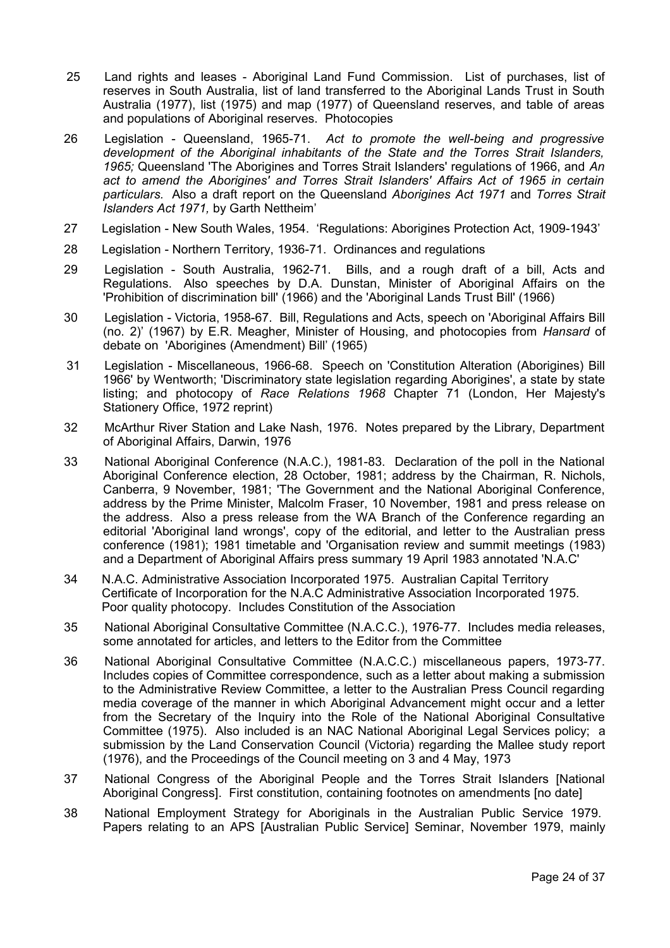- 25 Land rights and leases Aboriginal Land Fund Commission. List of purchases, list of reserves in South Australia, list of land transferred to the Aboriginal Lands Trust in South Australia (1977), list (1975) and map (1977) of Queensland reserves, and table of areas and populations of Aboriginal reserves. Photocopies
- 26 Legislation Queensland, 1965-71. *Act to promote the well-being and progressive development of the Aboriginal inhabitants of the State and the Torres Strait Islanders, 1965;* Queensland 'The Aborigines and Torres Strait Islanders' regulations of 1966, and *An act to amend the Aborigines' and Torres Strait Islanders' Affairs Act of 1965 in certain particulars.* Also a draft report on the Queensland *Aborigines Act 1971* and *Torres Strait Islanders Act 1971,* by Garth Nettheim'
- 27 Legislation New South Wales, 1954. 'Regulations: Aborigines Protection Act, 1909-1943'
- 28 Legislation Northern Territory, 1936-71. Ordinances and regulations
- 29 Legislation South Australia, 1962-71. Bills, and a rough draft of a bill, Acts and Regulations. Also speeches by D.A. Dunstan, Minister of Aboriginal Affairs on the 'Prohibition of discrimination bill' (1966) and the 'Aboriginal Lands Trust Bill' (1966)
- 30 Legislation Victoria, 1958-67. Bill, Regulations and Acts, speech on 'Aboriginal Affairs Bill (no. 2)' (1967) by E.R. Meagher, Minister of Housing, and photocopies from *Hansard* of debate on 'Aborigines (Amendment) Bill' (1965)
- 31 Legislation Miscellaneous, 1966-68. Speech on 'Constitution Alteration (Aborigines) Bill 1966' by Wentworth; 'Discriminatory state legislation regarding Aborigines', a state by state listing; and photocopy of *Race Relations 1968* Chapter 71 (London, Her Majesty's Stationery Office, 1972 reprint)
- 32 McArthur River Station and Lake Nash, 1976. Notes prepared by the Library, Department of Aboriginal Affairs, Darwin, 1976
- 33 National Aboriginal Conference (N.A.C.), 1981-83. Declaration of the poll in the National Aboriginal Conference election, 28 October, 1981; address by the Chairman, R. Nichols, Canberra, 9 November, 1981; 'The Government and the National Aboriginal Conference, address by the Prime Minister, Malcolm Fraser, 10 November, 1981 and press release on the address. Also a press release from the WA Branch of the Conference regarding an editorial 'Aboriginal land wrongs', copy of the editorial, and letter to the Australian press conference (1981); 1981 timetable and 'Organisation review and summit meetings (1983) and a Department of Aboriginal Affairs press summary 19 April 1983 annotated 'N.A.C'
- 34 N.A.C. Administrative Association Incorporated 1975. Australian Capital Territory Certificate of Incorporation for the N.A.C Administrative Association Incorporated 1975. Poor quality photocopy. Includes Constitution of the Association
- 35 National Aboriginal Consultative Committee (N.A.C.C.), 1976-77. Includes media releases, some annotated for articles, and letters to the Editor from the Committee
- 36 National Aboriginal Consultative Committee (N.A.C.C.) miscellaneous papers, 1973-77. Includes copies of Committee correspondence, such as a letter about making a submission to the Administrative Review Committee, a letter to the Australian Press Council regarding media coverage of the manner in which Aboriginal Advancement might occur and a letter from the Secretary of the Inquiry into the Role of the National Aboriginal Consultative Committee (1975). Also included is an NAC National Aboriginal Legal Services policy; a submission by the Land Conservation Council (Victoria) regarding the Mallee study report (1976), and the Proceedings of the Council meeting on 3 and 4 May, 1973
- 37 National Congress of the Aboriginal People and the Torres Strait Islanders [National Aboriginal Congress]. First constitution, containing footnotes on amendments [no date]
- 38 National Employment Strategy for Aboriginals in the Australian Public Service 1979. Papers relating to an APS [Australian Public Service] Seminar, November 1979, mainly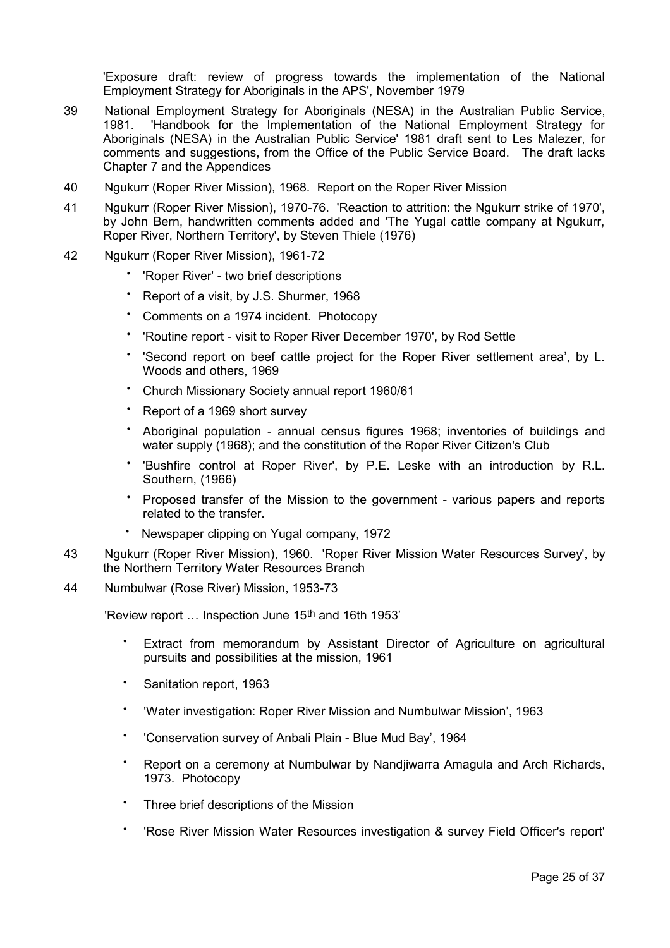'Exposure draft: review of progress towards the implementation of the National Employment Strategy for Aboriginals in the APS', November 1979

- 39 National Employment Strategy for Aboriginals (NESA) in the Australian Public Service, 1981. 'Handbook for the Implementation of the National Employment Strategy for Aboriginals (NESA) in the Australian Public Service' 1981 draft sent to Les Malezer, for comments and suggestions, from the Office of the Public Service Board. The draft lacks Chapter 7 and the Appendices
- 40 Ngukurr (Roper River Mission), 1968. Report on the Roper River Mission
- 41 Ngukurr (Roper River Mission), 1970-76. 'Reaction to attrition: the Ngukurr strike of 1970', by John Bern, handwritten comments added and 'The Yugal cattle company at Ngukurr, Roper River, Northern Territory', by Steven Thiele (1976)
- 42 Ngukurr (Roper River Mission), 1961-72
	- 'Roper River' - two brief descriptions
	- Report of a visit, by J.S. Shurmer, 1968
	- Comments on a 1974 incident. Photocopy
	- 'Routine report - visit to Roper River December 1970', by Rod Settle
	- 'Second report on beef cattle project for the Roper River settlement area', by L. Woods and others, 1969
	- Church Missionary Society annual report 1960/61
	- Report of a 1969 short survey
	- Aboriginal population annual census figures 1968; inventories of buildings and water supply (1968); and the constitution of the Roper River Citizen's Club
	- 'Bushfire control at Roper River', by P.E. Leske with an introduction by R.L. Southern, (1966)
	- Proposed transfer of the Mission to the government various papers and reports related to the transfer.
	- Newspaper clipping on Yugal company, 1972
- 43 Ngukurr (Roper River Mission), 1960. 'Roper River Mission Water Resources Survey', by the Northern Territory Water Resources Branch
- 44 Numbulwar (Rose River) Mission, 1953-73

'Review report … Inspection June 15th and 16th 1953'

- Extract from memorandum by Assistant Director of Agriculture on agricultural pursuits and possibilities at the mission, 1961
- Sanitation report, 1963
- 'Water investigation: Roper River Mission and Numbulwar Mission', 1963
- 'Conservation survey of Anbali Plain - Blue Mud Bay', 1964
- Report on a ceremony at Numbulwar by Nandjiwarra Amagula and Arch Richards, 1973. Photocopy
- Three brief descriptions of the Mission
- 'Rose River Mission Water Resources investigation & survey Field Officer's report'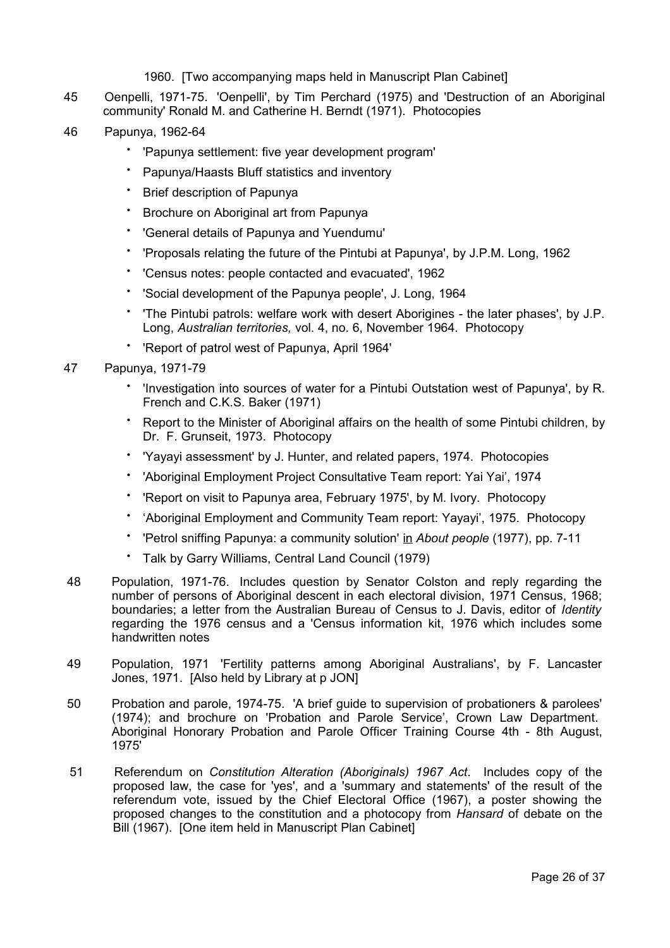## 1960. [Two accompanying maps held in Manuscript Plan Cabinet]

- 45 Oenpelli, 1971-75. 'Oenpelli', by Tim Perchard (1975) and 'Destruction of an Aboriginal community' Ronald M. and Catherine H. Berndt (1971). Photocopies
- 46 Papunya, 1962-64
	- 'Papunya settlement: five year development program'
	- Papunya/Haasts Bluff statistics and inventory
	- **Brief description of Papunya**
	- Brochure on Aboriginal art from Papunya
	- 'General details of Papunya and Yuendumu'
	- 'Proposals relating the future of the Pintubi at Papunya', by J.P.M. Long, 1962
	- 'Census notes: people contacted and evacuated', 1962
	- 'Social development of the Papunya people', J. Long, 1964
	- 'The Pintubi patrols: welfare work with desert Aborigines - the later phases', by J.P. Long, *Australian territories,* vol. 4, no. 6, November 1964. Photocopy
	- 'Report of patrol west of Papunya, April 1964'
- 47 Papunya, 1971-79
	- 'Investigation into sources of water for a Pintubi Outstation west of Papunya', by R. French and C.K.S. Baker (1971)
	- Report to the Minister of Aboriginal affairs on the health of some Pintubi children, by Dr. F. Grunseit, 1973. Photocopy
	- 'Yayayi assessment' by J. Hunter, and related papers, 1974. Photocopies
	- 'Aboriginal Employment Project Consultative Team report: Yai Yai', 1974
	- 'Report on visit to Papunya area, February 1975', by M. Ivory. Photocopy
	- 'Aboriginal Employment and Community Team report: Yayayi', 1975. Photocopy
	- 'Petrol sniffing Papunya: a community solution' in *About people* (1977), pp. 7-11
	- Talk by Garry Williams, Central Land Council (1979)
- 48 Population, 1971-76. Includes question by Senator Colston and reply regarding the number of persons of Aboriginal descent in each electoral division, 1971 Census, 1968; boundaries; a letter from the Australian Bureau of Census to J. Davis, editor of *Identity* regarding the 1976 census and a 'Census information kit, 1976 which includes some handwritten notes
- 49 Population, 1971 'Fertility patterns among Aboriginal Australians', by F. Lancaster Jones, 1971. [Also held by Library at p JON]
- 50 Probation and parole, 1974-75. 'A brief guide to supervision of probationers & parolees' (1974); and brochure on 'Probation and Parole Service', Crown Law Department. Aboriginal Honorary Probation and Parole Officer Training Course 4th - 8th August, 1975'
- 51 Referendum on *Constitution Alteration (Aboriginals) 1967 Act*. Includes copy of the proposed law, the case for 'yes', and a 'summary and statements' of the result of the referendum vote, issued by the Chief Electoral Office (1967), a poster showing the proposed changes to the constitution and a photocopy from *Hansard* of debate on the Bill (1967). [One item held in Manuscript Plan Cabinet]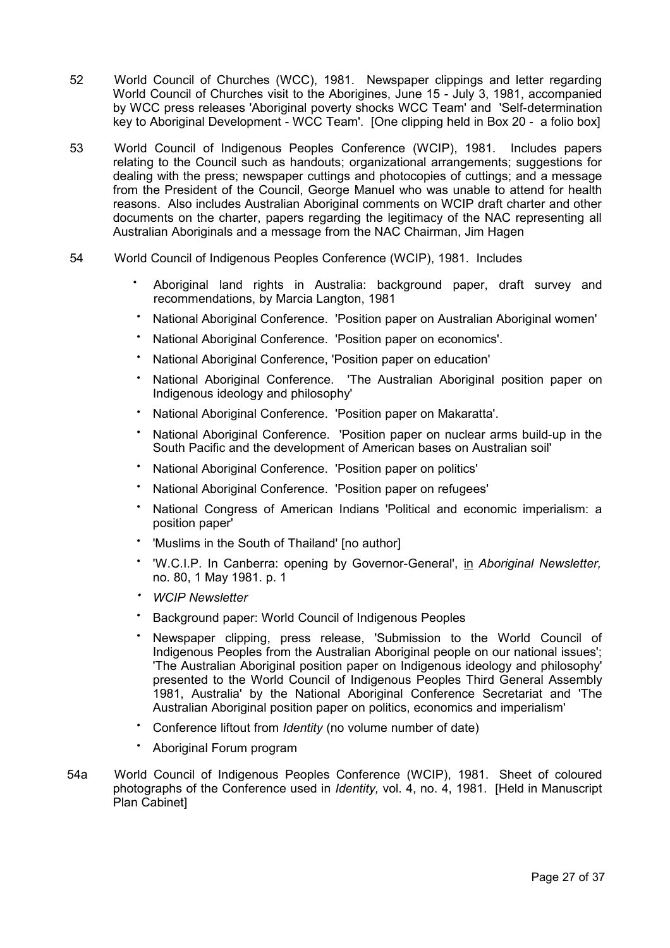- 52 World Council of Churches (WCC), 1981. Newspaper clippings and letter regarding World Council of Churches visit to the Aborigines, June 15 - July 3, 1981, accompanied by WCC press releases 'Aboriginal poverty shocks WCC Team' and 'Self-determination key to Aboriginal Development - WCC Team'. [One clipping held in Box 20 - a folio box]
- 53 World Council of Indigenous Peoples Conference (WCIP), 1981. Includes papers relating to the Council such as handouts; organizational arrangements; suggestions for dealing with the press; newspaper cuttings and photocopies of cuttings; and a message from the President of the Council, George Manuel who was unable to attend for health reasons. Also includes Australian Aboriginal comments on WCIP draft charter and other documents on the charter, papers regarding the legitimacy of the NAC representing all Australian Aboriginals and a message from the NAC Chairman, Jim Hagen
- 54 World Council of Indigenous Peoples Conference (WCIP), 1981. Includes
	- Aboriginal land rights in Australia: background paper, draft survey and recommendations, by Marcia Langton, 1981
	- National Aboriginal Conference. 'Position paper on Australian Aboriginal women'
	- National Aboriginal Conference. 'Position paper on economics'.
	- National Aboriginal Conference, 'Position paper on education'
	- National Aboriginal Conference. 'The Australian Aboriginal position paper on Indigenous ideology and philosophy'
	- National Aboriginal Conference. 'Position paper on Makaratta'.
	- National Aboriginal Conference. 'Position paper on nuclear arms build-up in the South Pacific and the development of American bases on Australian soil'
	- National Aboriginal Conference. 'Position paper on politics'
	- National Aboriginal Conference. 'Position paper on refugees'
	- National Congress of American Indians 'Political and economic imperialism: a position paper'
	- 'Muslims in the South of Thailand' [no author]
	- 'W.C.I.P. In Canberra: opening by Governor-General', in *Aboriginal Newsletter,* no. 80, 1 May 1981. p. 1
	- •*WCIP Newsletter*
	- Background paper: World Council of Indigenous Peoples
	- Newspaper clipping, press release, 'Submission to the World Council of Indigenous Peoples from the Australian Aboriginal people on our national issues'; 'The Australian Aboriginal position paper on Indigenous ideology and philosophy' presented to the World Council of Indigenous Peoples Third General Assembly 1981, Australia' by the National Aboriginal Conference Secretariat and 'The Australian Aboriginal position paper on politics, economics and imperialism'
	- Conference liftout from *Identity* (no volume number of date)
	- Aboriginal Forum program
- 54a World Council of Indigenous Peoples Conference (WCIP), 1981. Sheet of coloured photographs of the Conference used in *Identity,* vol. 4, no. 4, 1981. [Held in Manuscript Plan Cabinet]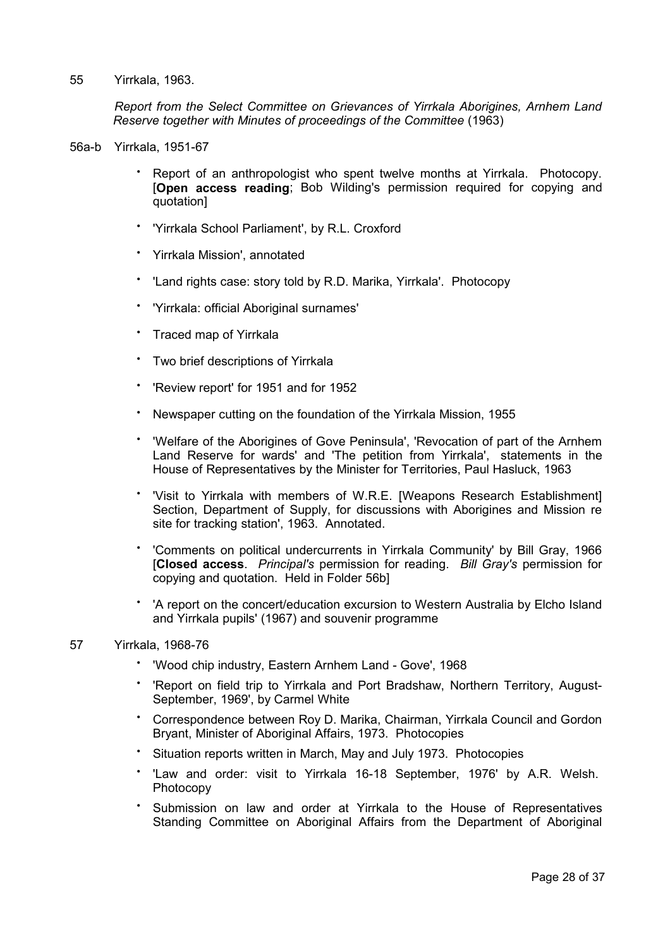## 55 Yirrkala, 1963.

*Report from the Select Committee on Grievances of Yirrkala Aborigines, Arnhem Land Reserve together with Minutes of proceedings of the Committee* (1963)

- 56a-b Yirrkala, 1951-67
	- Report of an anthropologist who spent twelve months at Yirrkala. Photocopy. [**Open access reading**; Bob Wilding's permission required for copying and quotation]
	- 'Yirrkala School Parliament', by R.L. Croxford
	- Yirrkala Mission', annotated
	- 'Land rights case: story told by R.D. Marika, Yirrkala'. Photocopy
	- 'Yirrkala: official Aboriginal surnames'
	- Traced map of Yirrkala
	- Two brief descriptions of Yirrkala
	- 'Review report' for 1951 and for 1952
	- Newspaper cutting on the foundation of the Yirrkala Mission, 1955
	- 'Welfare of the Aborigines of Gove Peninsula', 'Revocation of part of the Arnhem Land Reserve for wards' and 'The petition from Yirrkala', statements in the House of Representatives by the Minister for Territories, Paul Hasluck, 1963
	- 'Visit to Yirrkala with members of W.R.E. [Weapons Research Establishment] Section, Department of Supply, for discussions with Aborigines and Mission re site for tracking station', 1963. Annotated.
	- 'Comments on political undercurrents in Yirrkala Community' by Bill Gray, 1966 [**Closed access**. *Principal's* permission for reading. *Bill Gray's* permission for copying and quotation. Held in Folder 56b]
	- 'A report on the concert/education excursion to Western Australia by Elcho Island and Yirrkala pupils' (1967) and souvenir programme

## 57 Yirrkala, 1968-76

- 'Wood chip industry, Eastern Arnhem Land Gove', 1968
- 'Report on field trip to Yirrkala and Port Bradshaw, Northern Territory, August-September, 1969', by Carmel White
- Correspondence between Roy D. Marika, Chairman, Yirrkala Council and Gordon Bryant, Minister of Aboriginal Affairs, 1973. Photocopies
- Situation reports written in March, May and July 1973. Photocopies
- 'Law and order: visit to Yirrkala 16-18 September, 1976' by A.R. Welsh. Photocopy
- Submission on law and order at Yirrkala to the House of Representatives Standing Committee on Aboriginal Affairs from the Department of Aboriginal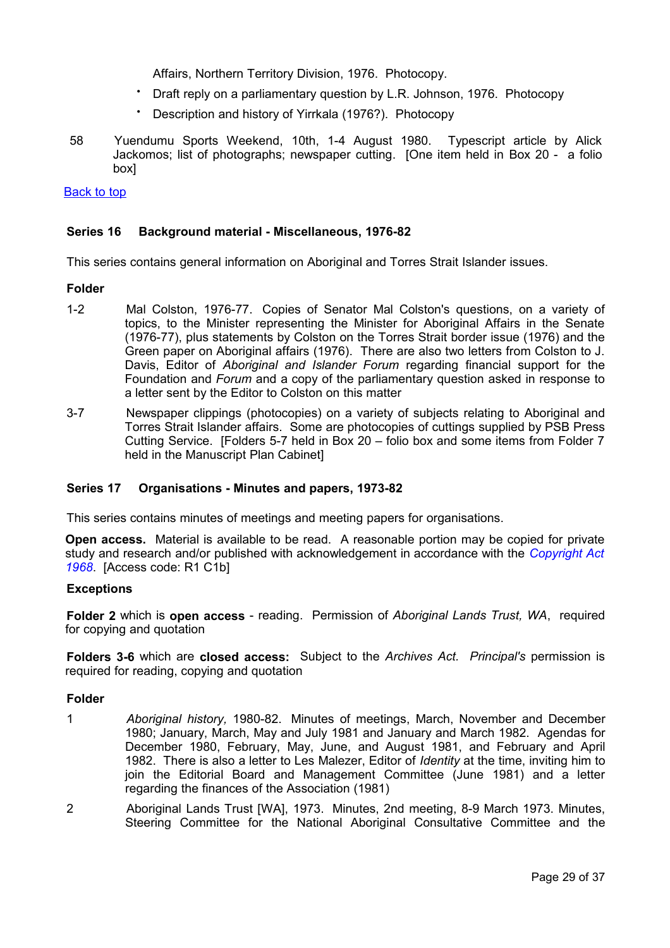Affairs, Northern Territory Division, 1976. Photocopy.

- Draft reply on a parliamentary question by L.R. Johnson, 1976. Photocopy
- Description and history of Yirrkala (1976?). Photocopy
- 58 Yuendumu Sports Weekend, 10th, 1-4 August 1980. Typescript article by Alick Jackomos; list of photographs; newspaper cutting. [One item held in Box 20 - a folio box]

[Back to top](#page-0-0)

## <span id="page-28-1"></span>**Series 16 Background material - Miscellaneous, 1976-82**

This series contains general information on Aboriginal and Torres Strait Islander issues.

## **Folder**

- 1-2 Mal Colston, 1976-77. Copies of Senator Mal Colston's questions, on a variety of topics, to the Minister representing the Minister for Aboriginal Affairs in the Senate (1976-77), plus statements by Colston on the Torres Strait border issue (1976) and the Green paper on Aboriginal affairs (1976). There are also two letters from Colston to J. Davis, Editor of *Aboriginal and Islander Forum* regarding financial support for the Foundation and *Forum* and a copy of the parliamentary question asked in response to a letter sent by the Editor to Colston on this matter
- 3-7 Newspaper clippings (photocopies) on a variety of subjects relating to Aboriginal and Torres Strait Islander affairs. Some are photocopies of cuttings supplied by PSB Press Cutting Service. [Folders 5-7 held in Box 20 – folio box and some items from Folder 7 held in the Manuscript Plan Cabinet]

## <span id="page-28-0"></span>**Series 17 Organisations - Minutes and papers, 1973-82**

This series contains minutes of meetings and meeting papers for organisations.

**Open access.** Material is available to be read. A reasonable portion may be copied for private study and research and/or published with acknowledgement in accordance with the *[Copyright Act](http://www.austlii.edu.au/au/legis/cth/consol_act/ca1968133/) [1968](http://www.austlii.edu.au/au/legis/cth/consol_act/ca1968133/)*.[Access code: R1 C1b]

## **Exceptions**

**Folder 2** which is **open access** - reading. Permission of *Aboriginal Lands Trust, WA*, required for copying and quotation

**Folders 3-6** which are **closed access:** Subject to the *Archives Act. Principal's* permission is required for reading, copying and quotation

## **Folder**

- 1 *Aboriginal history,* 1980-82. Minutes of meetings, March, November and December 1980; January, March, May and July 1981 and January and March 1982. Agendas for December 1980, February, May, June, and August 1981, and February and April 1982. There is also a letter to Les Malezer, Editor of *Identity* at the time, inviting him to join the Editorial Board and Management Committee (June 1981) and a letter regarding the finances of the Association (1981)
- 2 Aboriginal Lands Trust [WA], 1973. Minutes, 2nd meeting, 8-9 March 1973. Minutes, Steering Committee for the National Aboriginal Consultative Committee and the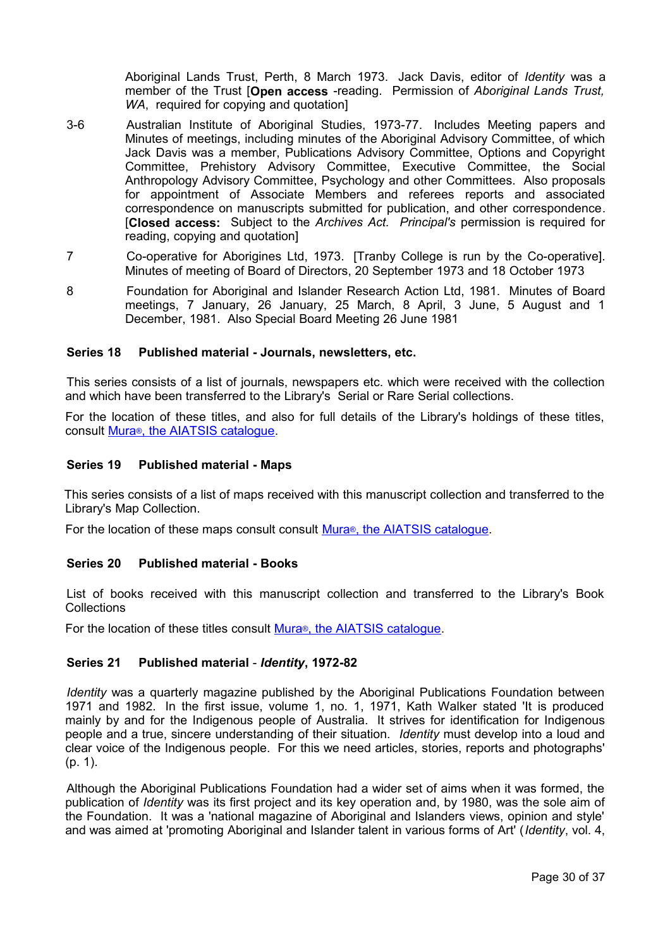Aboriginal Lands Trust, Perth, 8 March 1973. Jack Davis, editor of *Identity* was a member of the Trust [**Open access** -reading. Permission of *Aboriginal Lands Trust, WA*, required for copying and quotation]

- 3-6 Australian Institute of Aboriginal Studies, 1973-77. Includes Meeting papers and Minutes of meetings, including minutes of the Aboriginal Advisory Committee, of which Jack Davis was a member, Publications Advisory Committee, Options and Copyright Committee, Prehistory Advisory Committee, Executive Committee, the Social Anthropology Advisory Committee, Psychology and other Committees. Also proposals for appointment of Associate Members and referees reports and associated correspondence on manuscripts submitted for publication, and other correspondence. [**Closed access:** Subject to the *Archives Act. Principal's* permission is required for reading, copying and quotation]
- 7 Co-operative for Aborigines Ltd, 1973. [Tranby College is run by the Co-operative]. Minutes of meeting of Board of Directors, 20 September 1973 and 18 October 1973
- 8 Foundation for Aboriginal and Islander Research Action Ltd, 1981. Minutes of Board meetings, 7 January, 26 January, 25 March, 8 April, 3 June, 5 August and 1 December, 1981. Also Special Board Meeting 26 June 1981

## <span id="page-29-3"></span>**Series 18 Published material - Journals, newsletters, etc.**

This series consists of a list of journals, newspapers etc. which were received with the collection and which have been transferred to the Library's Serial or Rare Serial collections.

For the location of these titles, and also for full details of the Library's holdings of these titles, consult Mura<sup>®</sup>, the [AIATSIS catalogue.](http://www.aiatsis.gov.au/collections/muraread.html)

## <span id="page-29-2"></span>**Series 19 Published material - Maps**

This series consists of a list of maps received with this manuscript collection and transferred to the Library's Map Collection.

For the location of these maps consult consult Mura<sup>®</sup>, the [AIATSIS catalogue.](http://www.aiatsis.gov.au/collections/muraread.html)

## <span id="page-29-1"></span>**Series 20 Published material - Books**

List of books received with this manuscript collection and transferred to the Library's Book **Collections** 

For the location of these titles consult Mura<sup>®</sup>, the [AIATSIS catalogue.](http://www.aiatsis.gov.au/collections/muraread.html)

## <span id="page-29-0"></span>**Series 21 Published material** - *Identity***, 1972-82**

*Identity* was a quarterly magazine published by the Aboriginal Publications Foundation between 1971 and 1982. In the first issue, volume 1, no. 1, 1971, Kath Walker stated 'It is produced mainly by and for the Indigenous people of Australia. It strives for identification for Indigenous people and a true, sincere understanding of their situation. *Identity* must develop into a loud and clear voice of the Indigenous people. For this we need articles, stories, reports and photographs' (p. 1).

Although the Aboriginal Publications Foundation had a wider set of aims when it was formed, the publication of *Identity* was its first project and its key operation and, by 1980, was the sole aim of the Foundation. It was a 'national magazine of Aboriginal and Islanders views, opinion and style' and was aimed at 'promoting Aboriginal and Islander talent in various forms of Art' (*Identity*, vol. 4,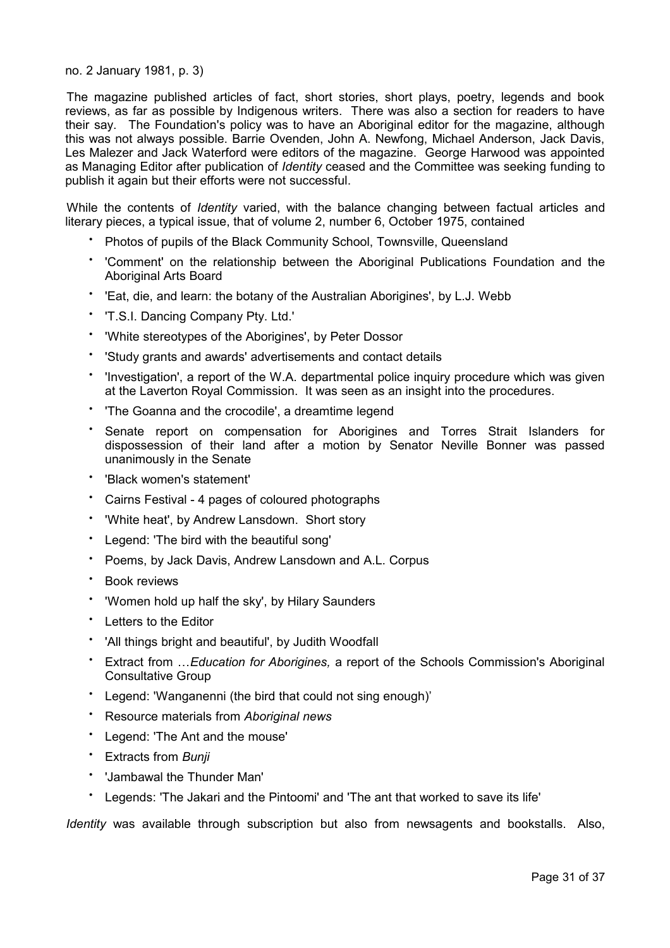## no. 2 January 1981, p. 3)

The magazine published articles of fact, short stories, short plays, poetry, legends and book reviews, as far as possible by Indigenous writers. There was also a section for readers to have their say. The Foundation's policy was to have an Aboriginal editor for the magazine, although this was not always possible. Barrie Ovenden, John A. Newfong, Michael Anderson, Jack Davis, Les Malezer and Jack Waterford were editors of the magazine. George Harwood was appointed as Managing Editor after publication of *Identity* ceased and the Committee was seeking funding to publish it again but their efforts were not successful.

While the contents of *Identity* varied, with the balance changing between factual articles and literary pieces, a typical issue, that of volume 2, number 6, October 1975, contained

- Photos of pupils of the Black Community School, Townsville, Queensland
- 'Comment' on the relationship between the Aboriginal Publications Foundation and the Aboriginal Arts Board
- 'Eat, die, and learn: the botany of the Australian Aborigines', by L.J. Webb
- 'T.S.I. Dancing Company Pty. Ltd.'
- 'White stereotypes of the Aborigines', by Peter Dossor
- 'Study grants and awards' advertisements and contact details
- 'Investigation', a report of the W.A. departmental police inquiry procedure which was given at the Laverton Royal Commission. It was seen as an insight into the procedures.
- 'The Goanna and the crocodile', a dreamtime legend
- Senate report on compensation for Aborigines and Torres Strait Islanders for dispossession of their land after a motion by Senator Neville Bonner was passed unanimously in the Senate
- 'Black women's statement'
- Cairns Festival 4 pages of coloured photographs
- 'White heat', by Andrew Lansdown. Short story
- Legend: 'The bird with the beautiful song'
- Poems, by Jack Davis, Andrew Lansdown and A.L. Corpus
- Book reviews
- 'Women hold up half the sky', by Hilary Saunders
- Letters to the Editor
- 'All things bright and beautiful', by Judith Woodfall
- Extract from …*Education for Aborigines,* a report of the Schools Commission's Aboriginal Consultative Group
- Legend: 'Wanganenni (the bird that could not sing enough)'
- Resource materials from *Aboriginal news*
- Legend: 'The Ant and the mouse'
- Extracts from *Bunji*
- 'Jambawal the Thunder Man'
- Legends: 'The Jakari and the Pintoomi' and 'The ant that worked to save its life'

*Identity* was available through subscription but also from newsagents and bookstalls. Also,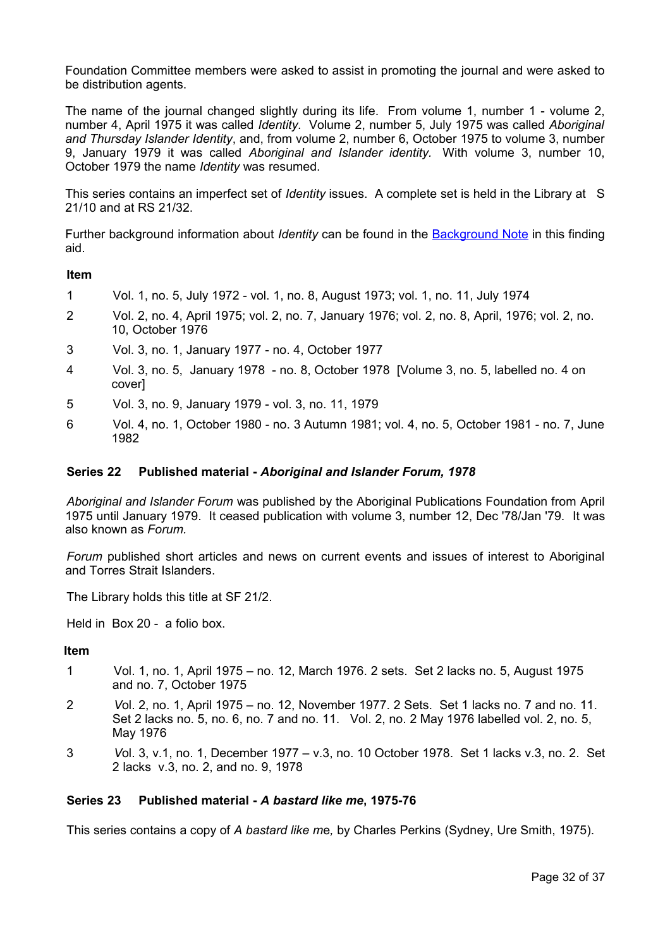Foundation Committee members were asked to assist in promoting the journal and were asked to be distribution agents.

The name of the journal changed slightly during its life. From volume 1, number 1 - volume 2, number 4, April 1975 it was called *Identity.* Volume 2, number 5, July 1975 was called *Aboriginal and Thursday Islander Identity*, and, from volume 2, number 6, October 1975 to volume 3, number 9, January 1979 it was called *Aboriginal and Islander identity.* With volume 3, number 10, October 1979 the name *Identity* was resumed.

This series contains an imperfect set of *Identity* issues. A complete set is held in the Library at S 21/10 and at RS 21/32.

Further background information about *Identity* can be found in the [Background Note](#page-4-0) in this finding aid.

## **Item**

- 1 Vol. 1, no. 5, July 1972 vol. 1, no. 8, August 1973; vol. 1, no. 11, July 1974
- 2 Vol. 2, no. 4, April 1975; vol. 2, no. 7, January 1976; vol. 2, no. 8, April, 1976; vol. 2, no. 10, October 1976
- 3 Vol. 3, no. 1, January 1977 no. 4, October 1977
- 4 Vol. 3, no. 5, January 1978 no. 8, October 1978 [Volume 3, no. 5, labelled no. 4 on cover]
- 5 Vol. 3, no. 9, January 1979 vol. 3, no. 11, 1979
- 6 Vol. 4, no. 1, October 1980 no. 3 Autumn 1981; vol. 4, no. 5, October 1981 no. 7, June 1982

## <span id="page-31-1"></span>**Series 22 Published material -** *Aboriginal and Islander Forum, 1978*

*Aboriginal and Islander Forum* was published by the Aboriginal Publications Foundation from April 1975 until January 1979. It ceased publication with volume 3, number 12, Dec '78/Jan '79. It was also known as *Forum.*

*Forum* published short articles and news on current events and issues of interest to Aboriginal and Torres Strait Islanders.

The Library holds this title at SF 21/2.

Held in Box 20 - a folio box.

## **Item**

- 1 Vol. 1, no. 1, April 1975 no. 12, March 1976. 2 sets. Set 2 lacks no. 5, August 1975 and no. 7, October 1975
- 2 *V*ol. 2, no. 1, April 1975 no. 12, November 1977. 2 Sets. Set 1 lacks no. 7 and no. 11. Set 2 lacks no. 5, no. 6, no. 7 and no. 11. Vol. 2, no. 2 May 1976 labelled vol. 2, no. 5, May 1976
- 3 *V*ol. 3, v.1, no. 1, December 1977 v.3, no. 10 October 1978. Set 1 lacks v.3, no. 2. Set 2 lacks v.3, no. 2, and no. 9, 1978

## <span id="page-31-0"></span>**Series 23 Published material -** *A bastard like me***, 1975-76**

This series contains a copy of *A bastard like m*e*,* by Charles Perkins (Sydney, Ure Smith, 1975).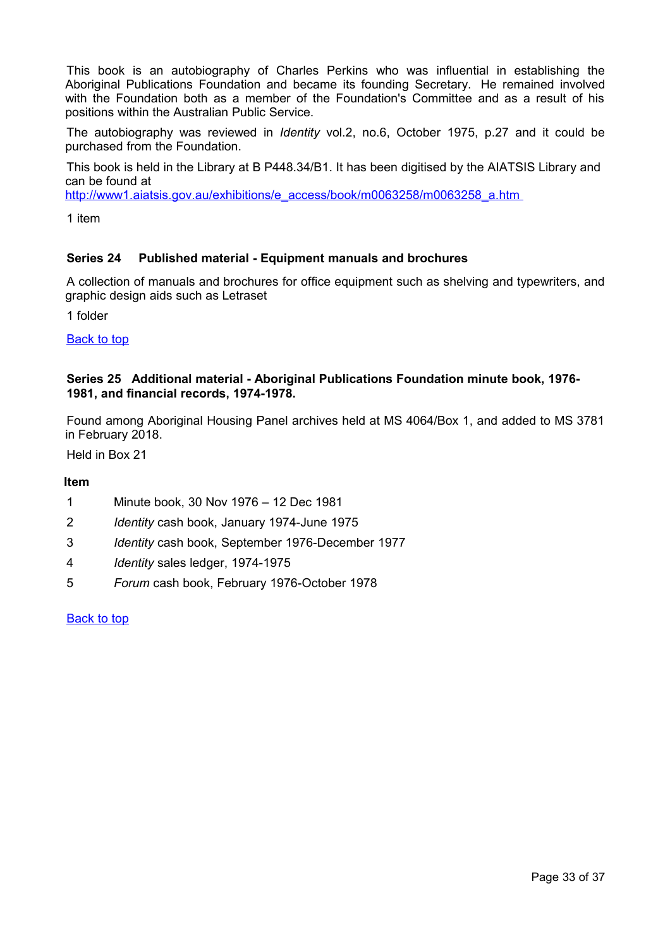This book is an autobiography of Charles Perkins who was influential in establishing the Aboriginal Publications Foundation and became its founding Secretary. He remained involved with the Foundation both as a member of the Foundation's Committee and as a result of his positions within the Australian Public Service.

The autobiography was reviewed in *Identity* vol.2, no.6, October 1975, p.27 and it could be purchased from the Foundation.

This book is held in the Library at B P448.34/B1. It has been digitised by the AIATSIS Library and can be found at

[http://www1.aiatsis.gov.au/exhibitions/e\\_access/book/m0063258/m0063258\\_a.htm](http://www1.aiatsis.gov.au/exhibitions/e_access/book/m0063258/m0063258_a.htm) 

1 item

## <span id="page-32-1"></span>**Series 24 Published material - Equipment manuals and brochures**

A collection of manuals and brochures for office equipment such as shelving and typewriters, and graphic design aids such as Letraset

1 folder

[Back to top](#page-0-0)

## <span id="page-32-0"></span>**Series 25 Additional material - Aboriginal Publications Foundation minute book, 1976- 1981, and financial records, 1974-1978.**

Found among Aboriginal Housing Panel archives held at MS 4064/Box 1, and added to MS 3781 in February 2018.

Held in Box 21

## **Item**

- 1 Minute book, 30 Nov 1976 12 Dec 1981
- 2 *Identity* cash book, January 1974-June 1975
- 3 *Identity* cash book, September 1976-December 1977
- 4 *Identity* sales ledger, 1974-1975
- 5 *Forum* cash book, February 1976-October 1978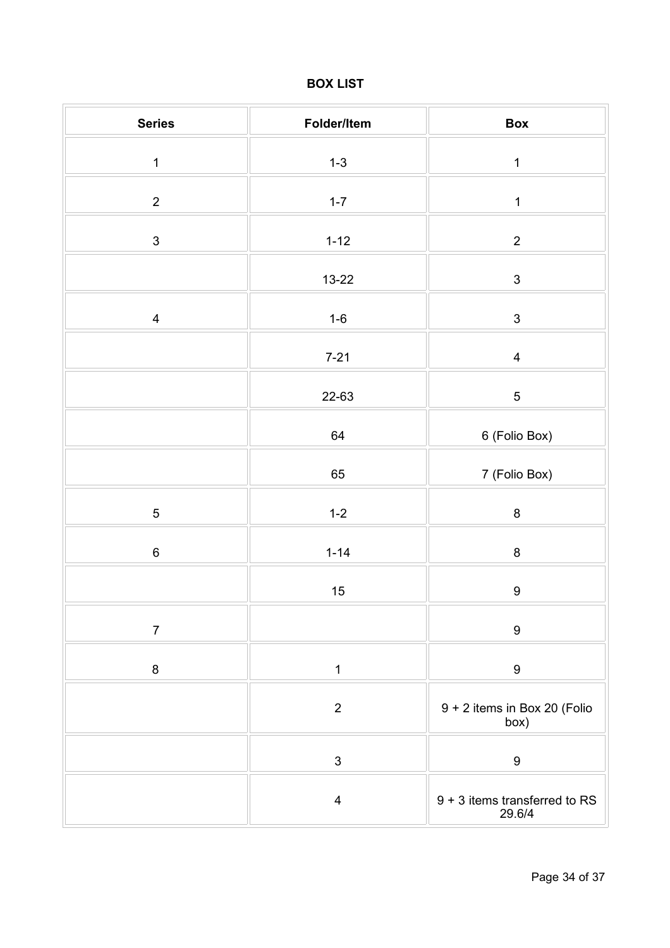# <span id="page-33-0"></span>**BOX LIST**

| <b>Series</b>  | Folder/Item             | Box                                     |
|----------------|-------------------------|-----------------------------------------|
| $\mathbf 1$    | $1 - 3$                 | $\mathbf 1$                             |
| $\overline{2}$ | $1 - 7$                 | $\mathbf 1$                             |
| $\mathfrak{S}$ | $1 - 12$                | $\overline{2}$                          |
|                | $13 - 22$               | $\ensuremath{\mathsf{3}}$               |
| $\overline{4}$ | $1-6$                   | $\ensuremath{\mathsf{3}}$               |
|                | $7 - 21$                | $\overline{\mathbf{4}}$                 |
|                | 22-63                   | $\sqrt{5}$                              |
|                |                         |                                         |
|                | 64                      | 6 (Folio Box)                           |
|                | 65                      | 7 (Folio Box)                           |
| $\sqrt{5}$     | $1 - 2$                 | $\bf 8$                                 |
| $\,6\,$        | $1 - 14$                | $\bf 8$                                 |
|                | 15                      | $\boldsymbol{9}$                        |
| $\overline{7}$ |                         | $\boldsymbol{9}$                        |
| $\bf 8$        | $\mathbf 1$             | $\boldsymbol{9}$                        |
|                | $\mathbf 2$             | 9 + 2 items in Box 20 (Folio<br>box)    |
|                | $\mathfrak{S}$          | $\boldsymbol{9}$                        |
|                | $\overline{\mathbf{4}}$ | 9 + 3 items transferred to RS<br>29.6/4 |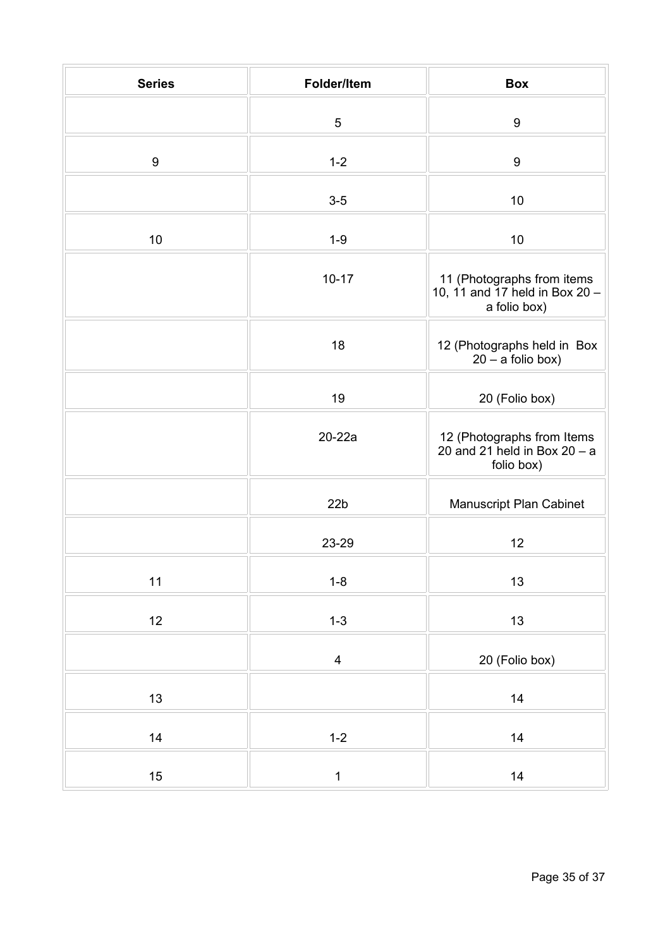| <b>Series</b>    | Folder/Item     | <b>Box</b>                                                                   |
|------------------|-----------------|------------------------------------------------------------------------------|
|                  | 5               | $\boldsymbol{9}$                                                             |
| $\boldsymbol{9}$ | $1 - 2$         | $\boldsymbol{9}$                                                             |
|                  | $3-5$           | 10                                                                           |
| $10$             | $1 - 9$         | 10                                                                           |
|                  | $10 - 17$       | 11 (Photographs from items<br>10, 11 and 17 held in Box 20 -<br>a folio box) |
|                  | 18              | 12 (Photographs held in Box<br>$20 - a$ folio box)                           |
|                  | 19              | 20 (Folio box)                                                               |
|                  | $20-22a$        | 12 (Photographs from Items<br>20 and 21 held in Box $20 - a$<br>folio box)   |
|                  | 22 <sub>b</sub> | Manuscript Plan Cabinet                                                      |
|                  | 23-29           | 12                                                                           |
| 11               | $1 - 8$         | 13                                                                           |
| 12               | $1 - 3$         | 13                                                                           |
|                  | $\overline{4}$  | 20 (Folio box)                                                               |
| 13               |                 | 14                                                                           |
| 14               | $1 - 2$         | 14                                                                           |
| 15               | $\mathbf{1}$    | 14                                                                           |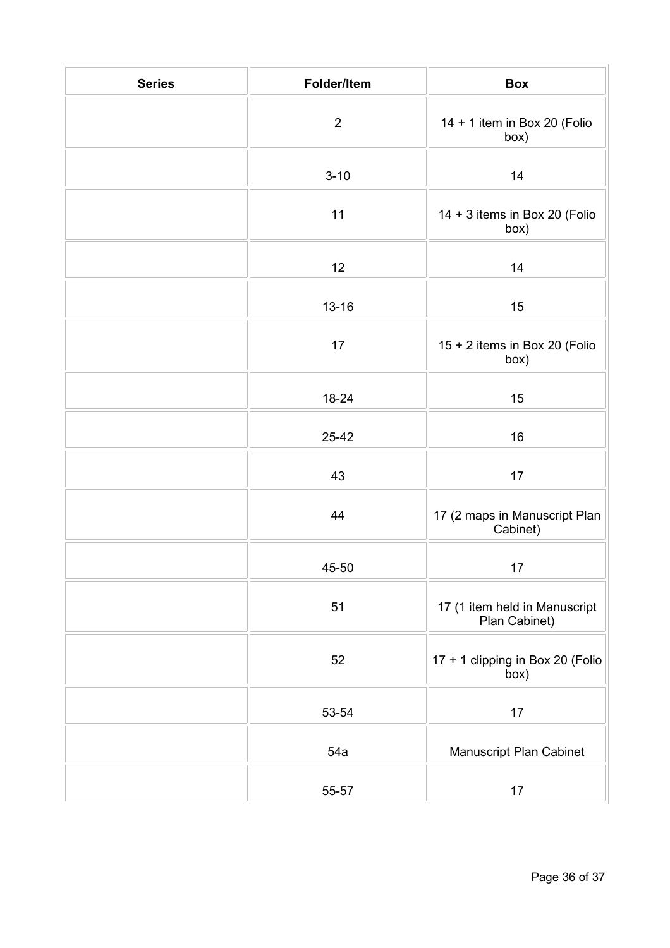| <b>Series</b> | Folder/Item | <b>Box</b>                                     |
|---------------|-------------|------------------------------------------------|
|               | $\mathbf 2$ | 14 + 1 item in Box 20 (Folio<br>box)           |
|               | $3 - 10$    | 14                                             |
|               | 11          | 14 + 3 items in Box 20 (Folio<br>box)          |
|               | 12          | 14                                             |
|               | $13 - 16$   | 15                                             |
|               | 17          | 15 + 2 items in Box 20 (Folio<br>box)          |
|               | 18-24       | 15                                             |
|               | 25-42       | 16                                             |
|               | 43          | 17                                             |
|               | 44          | 17 (2 maps in Manuscript Plan<br>Cabinet)      |
|               | 45-50       | 17                                             |
|               | 51          | 17 (1 item held in Manuscript<br>Plan Cabinet) |
|               | 52          | 17 + 1 clipping in Box 20 (Folio<br>box)       |
|               | 53-54       | 17                                             |
|               | 54a         | Manuscript Plan Cabinet                        |
|               | 55-57       | 17                                             |